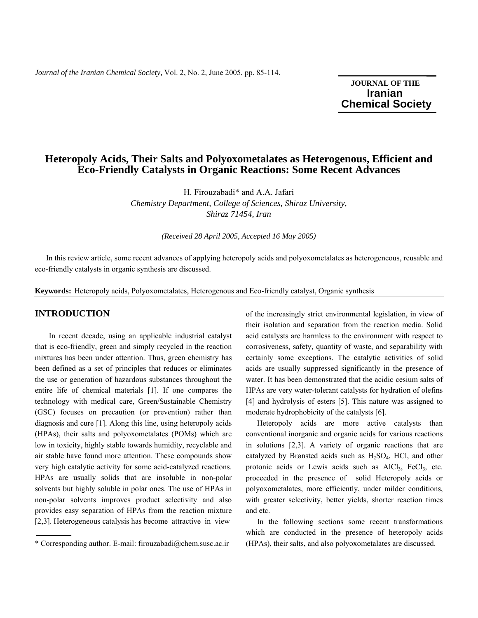*Journal of the Iranian Chemical Society,* Vol. 2, No. 2, June 2005, pp. 85-114.

**JOURNAL OF THE Iranian**  **Chemical Society** 

# **Heteropoly Acids, Their Salts and Polyoxometalates as Heterogenous, Efficient and Eco-Friendly Catalysts in Organic Reactions: Some Recent Advances**

H. Firouzabadi\* and A.A. Jafari *Chemistry Department, College of Sciences, Shiraz University, Shiraz 71454, Iran* 

*(Received 28 April 2005, Accepted 16 May 2005)* 

 In this review article, some recent advances of applying heteropoly acids and polyoxometalates as heterogeneous, reusable and eco-friendly catalysts in organic synthesis are discussed.

**Keywords:** Heteropoly acids, Polyoxometalates, Heterogenous and Eco-friendly catalyst, Organic synthesis

### **INTRODUCTION**

In recent decade, using an applicable industrial catalyst that is eco-friendly, green and simply recycled in the reaction mixtures has been under attention. Thus, green chemistry has been defined as a set of principles that reduces or eliminates the use or generation of hazardous substances throughout the entire life of chemical materials [1]. If one compares the technology with medical care, Green/Sustainable Chemistry (GSC) focuses on precaution (or prevention) rather than diagnosis and cure [1]. Along this line, using heteropoly acids (HPAs), their salts and polyoxometalates (POMs) which are low in toxicity, highly stable towards humidity, recyclable and air stable have found more attention. These compounds show very high catalytic activity for some acid-catalyzed reactions. HPAs are usually solids that are insoluble in non-polar solvents but highly soluble in polar ones. The use of HPAs in non-polar solvents improves product selectivity and also provides easy separation of HPAs from the reaction mixture [2,3]. Heterogeneous catalysis has become attractive in view

of the increasingly strict environmental legislation, in view of their isolation and separation from the reaction media. Solid acid catalysts are harmless to the environment with respect to corrosiveness, safety, quantity of waste, and separability with certainly some exceptions. The catalytic activities of solid acids are usually suppressed significantly in the presence of water. It has been demonstrated that the acidic cesium salts of HPAs are very water-tolerant catalysts for hydration of olefins [4] and hydrolysis of esters [5]. This nature was assigned to moderate hydrophobicity of the catalysts [6].

 Heteropoly acids are more active catalysts than conventional inorganic and organic acids for various reactions in solutions [2,3]. A variety of organic reactions that are catalyzed by Brønsted acids such as  $H_2SO_4$ , HCl, and other protonic acids or Lewis acids such as  $AICI<sub>3</sub>$ ,  $FeCl<sub>3</sub>$ , etc. proceeded in the presence of solid Heteropoly acids or polyoxometalates, more efficiently, under milder conditions, with greater selectivity, better yields, shorter reaction times and etc.

 In the following sections some recent transformations which are conducted in the presence of heteropoly acids (HPAs), their salts, and also polyoxometalates are discussed.

<sup>\*</sup> Corresponding author. E-mail: firouzabadi@chem.susc.ac.ir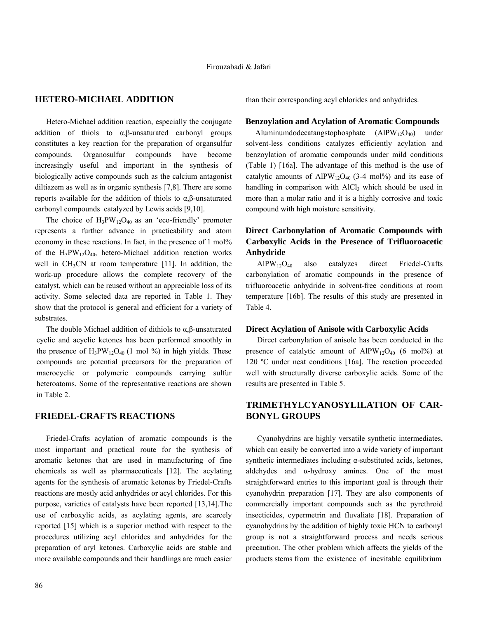### **HETERO-MICHAEL ADDITION**

 Hetero-Michael addition reaction, especially the conjugate addition of thiols to α,β-unsaturated carbonyl groups constitutes a key reaction for the preparation of organsulfur compounds. Organosulfur compounds have become increasingly useful and important in the synthesis of biologically active compounds such as the calcium antagonist diltiazem as well as in organic synthesis [7,8]. There are some reports available for the addition of thiols to α,β-unsaturated carbonyl compounds catalyzed by Lewis acids [9,10].

The choice of  $H_3PW_{12}O_{40}$  as an 'eco-friendly' promoter represents a further advance in practicability and atom economy in these reactions. In fact, in the presence of 1 mol% of the  $H_3PW_{12}O_{40}$ , hetero-Michael addition reaction works well in  $CH<sub>3</sub>CN$  at room temperature [11]. In addition, the work-up procedure allows the complete recovery of the catalyst, which can be reused without an appreciable loss of its activity. Some selected data are reported in Table 1. They show that the protocol is general and efficient for a variety of substrates.

The double Michael addition of dithiols to  $\alpha$ ,  $\beta$ -unsaturated cyclic and acyclic ketones has been performed smoothly in the presence of  $H_3PW_{12}O_{40}$  (1 mol %) in high yields. These compounds are potential precursors for the preparation of macrocyclic or polymeric compounds carrying sulfur heteroatoms. Some of the representative reactions are shown in Table 2.

#### **FRIEDEL-CRAFTS REACTIONS**

 Friedel-Crafts acylation of aromatic compounds is the most important and practical route for the synthesis of aromatic ketones that are used in manufacturing of fine chemicals as well as pharmaceuticals [12]. The acylating agents for the synthesis of aromatic ketones by Friedel-Crafts reactions are mostly acid anhydrides or acyl chlorides. For this purpose, varieties of catalysts have been reported [13,14].The use of carboxylic acids, as acylating agents, are scarcely reported [15] which is a superior method with respect to the procedures utilizing acyl chlorides and anhydrides for the preparation of aryl ketones. Carboxylic acids are stable and more available compounds and their handlings are much easier

than their corresponding acyl chlorides and anhydrides.

#### **Benzoylation and Acylation of Aromatic Compounds**

 $\text{Aluminumdodecatangstophosphate}$   $\text{(AlPW}_{12}\text{O}_{40})$  under solvent-less conditions catalyzes efficiently acylation and benzoylation of aromatic compounds under mild conditions (Table 1) [16a]. The advantage of this method is the use of catalytic amounts of AlPW<sub>12</sub>O<sub>40</sub> (3-4 mol%) and its ease of handling in comparison with AlCl<sub>3</sub> which should be used in more than a molar ratio and it is a highly corrosive and toxic compound with high moisture sensitivity.

## **Direct Carbonylation of Aromatic Compounds with Carboxylic Acids in the Presence of Trifluoroacetic Anhydride**

 $AIPW<sub>12</sub>O<sub>40</sub>$  also catalyzes direct Friedel-Crafts carbonylation of aromatic compounds in the presence of trifluoroacetic anhydride in solvent-free conditions at room temperature [16b]. The results of this study are presented in Table 4.

#### **Direct Acylation of Anisole with Carboxylic Acids**

 Direct carbonylation of anisole has been conducted in the presence of catalytic amount of  $AIPW_{12}O_{40}$  (6 mol%) at 120 ºC under neat conditions [16a]. The reaction proceeded well with structurally diverse carboxylic acids. Some of the results are presented in Table 5.

## **TRIMETHYLCYANOSYLILATION OF CAR-BONYL GROUPS**

 Cyanohydrins are highly versatile synthetic intermediates, which can easily be converted into a wide variety of important synthetic intermediates including α-substituted acids, ketones, aldehydes and α-hydroxy amines. One of the most straightforward entries to this important goal is through their cyanohydrin preparation [17]. They are also components of commercially important compounds such as the pyrethroid insecticides, cypermetrin and fluvaliate [18]. Preparation of cyanohydrins by the addition of highly toxic HCN to carbonyl group is not a straightforward process and needs serious precaution. The other problem which affects the yields of the products stems from the existence of inevitable equilibrium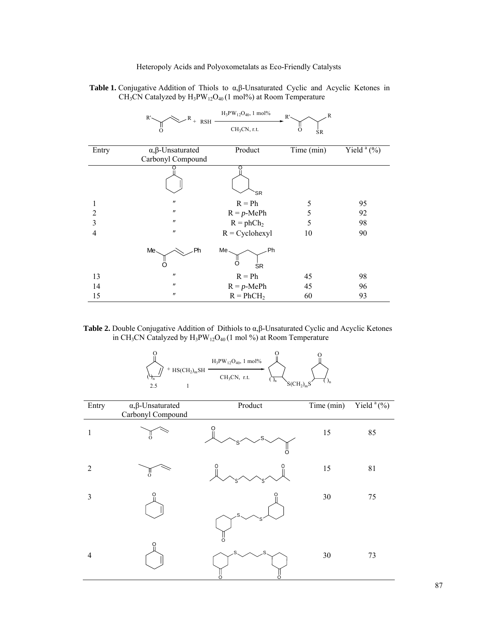|  | <b>Table 1.</b> Conjugative Addition of Thiols to $\alpha$ , $\beta$ -Unsaturated Cyclic and Acyclic Ketones in |  |  |  |  |  |
|--|-----------------------------------------------------------------------------------------------------------------|--|--|--|--|--|
|  | $CH3CN$ Catalyzed by $H3PW12O40$ (1 mol%) at Room Temperature                                                   |  |  |  |  |  |

|                | R'                              | $H_3PW_{12}O_{40}$ , 1 mol% | R<br>R'        |               |
|----------------|---------------------------------|-----------------------------|----------------|---------------|
|                | $^{+}$<br><b>RSH</b>            | $CH3CN$ , r.t.              | O<br><b>SR</b> |               |
| Entry          | $\alpha$ , $\beta$ -Unsaturated | Product                     | Time (min)     | Yield $(a_0)$ |
|                | Carbonyl Compound               |                             |                |               |
|                |                                 | 'SR                         |                |               |
| 1              | $^{\prime\prime}$               | $R = Ph$                    | 5              | 95            |
| $\overline{2}$ | $\pmb{\prime\prime}$            | $R = p$ -MePh               | 5              | 92            |
| 3              | $^{\prime\prime}$               | $R = phCh2$                 | 5              | 98            |
| 4              | $^{\prime\prime}$               | $R = Cyclohexyl$            | 10             | 90            |
|                | Me.<br>Ph                       | Me.<br>Ph<br>O<br><b>SR</b> |                |               |
| 13             | $\pmb{\mathcal{H}}$             | $R = Ph$                    | 45             | 98            |
| 14             | $\pmb{\prime\prime}$            | $R = p$ -MePh               | 45             | 96            |
| 15             | $\pmb{\prime\prime}$            | $R = PhCH2$                 | 60             | 93            |

#### **Table 2.** Double Conjugative Addition of Dithiols to α,β-Unsaturated Cyclic and Acyclic Ketones in CH<sub>3</sub>CN Catalyzed by  $H_3PW_{12}O_{40}$  (1 mol %) at Room Temperature

|     |                                          | $H_3PW_{12}O_{40}$ , 1 mol% |                    |  |
|-----|------------------------------------------|-----------------------------|--------------------|--|
| 2.5 | $+$ HS(CH <sub>2</sub> ) <sub>m</sub> SH | $CH3CN$ , r.t.              | ⊅n<br>$S(CH_2)_mS$ |  |

| Entry          | $\alpha, \beta$ -Unsaturated<br>Carbonyl Compound | Product | Time $\overline{\text{(min)}}$ | Yield <sup>a</sup> (%) |
|----------------|---------------------------------------------------|---------|--------------------------------|------------------------|
| 1              | $\circ$                                           | O       | 15                             | 85                     |
| $\overline{2}$ | O                                                 |         | 15                             | 81                     |
| 3              | O                                                 | S<br>O  | 30                             | 75                     |
| $\overline{4}$ | O                                                 |         | 30                             | 73                     |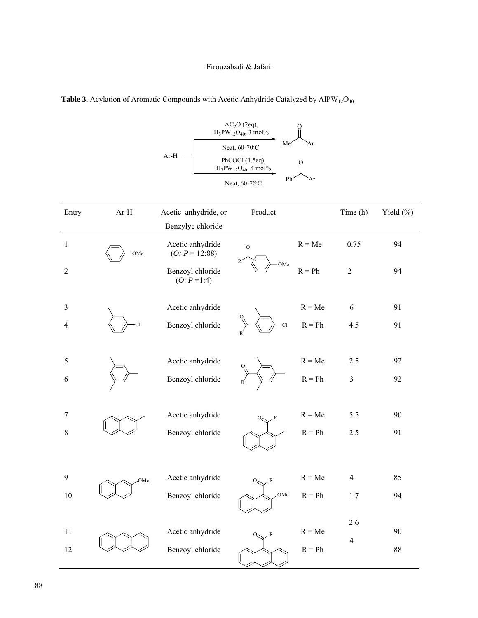|                |        | Ar-H                                 | $AC2O$ (2eq),<br>$H_3PW_{12}O_{40}$ , 3 mol%<br>Me<br>Neat, 60-70 C<br>PhCOCl (1.5eq),<br>$H_3PW_{12}O_{40}$ , 4 mol%<br>Ph <sup>2</sup><br>Neat, 60-70 C | Ar<br>Άr |                |              |
|----------------|--------|--------------------------------------|-----------------------------------------------------------------------------------------------------------------------------------------------------------|----------|----------------|--------------|
| Entry          | $Ar-H$ | Acetic anhydride, or                 | Product                                                                                                                                                   |          | Time (h)       | Yield $(\%)$ |
|                |        | Benzylyc chloride                    |                                                                                                                                                           |          |                |              |
| $\mathbf{1}$   | OMe    | Acetic anhydride<br>$(O: P = 12:88)$ |                                                                                                                                                           | $R = Me$ | 0.75           | 94           |
| $\sqrt{2}$     |        | Benzoyl chloride<br>$(O: P=1:4)$     | R<br>OMe                                                                                                                                                  | $R = Ph$ | $\overline{2}$ | 94           |
| 3              |        | Acetic anhydride                     |                                                                                                                                                           | $R = Me$ | 6              | 91           |
| $\overline{4}$ | C1     | Benzoyl chloride                     | <b>Cl</b><br>R                                                                                                                                            | $R = Ph$ | 4.5            | 91           |
| 5              |        | Acetic anhydride                     |                                                                                                                                                           | $R = Me$ | 2.5            | 92           |
| 6              |        | Benzoyl chloride                     |                                                                                                                                                           | $R = Ph$ | $\mathfrak{Z}$ | 92           |
| 7              |        | Acetic anhydride                     | $0 \sim R$                                                                                                                                                | $R = Me$ | 5.5            | 90           |
| $\,8\,$        |        | Benzoyl chloride                     |                                                                                                                                                           | $R = Ph$ | 2.5            | 91           |
| $\mathbf{9}$   | OMe    | Acetic anhydride                     | $\mathcal{R}$<br>0.                                                                                                                                       | $R = Me$ | $\overline{4}$ | 85           |
| $10\,$         |        | Benzoyl chloride                     | .OMe                                                                                                                                                      | $R = Ph$ | $1.7\,$        | 94           |
| 11             |        | Acetic anhydride                     |                                                                                                                                                           | $R = Me$ | $2.6\,$        | 90           |
| 12             |        | Benzoyl chloride                     | $\mathcal{R}$<br>$O_{\leq 1}$                                                                                                                             | $R = Ph$ | $\overline{4}$ | $88\,$       |
|                |        |                                      |                                                                                                                                                           |          |                |              |

# **Table 3.** Acylation of Aromatic Compounds with Acetic Anhydride Catalyzed by AlPW<sub>12</sub>O<sub>40</sub>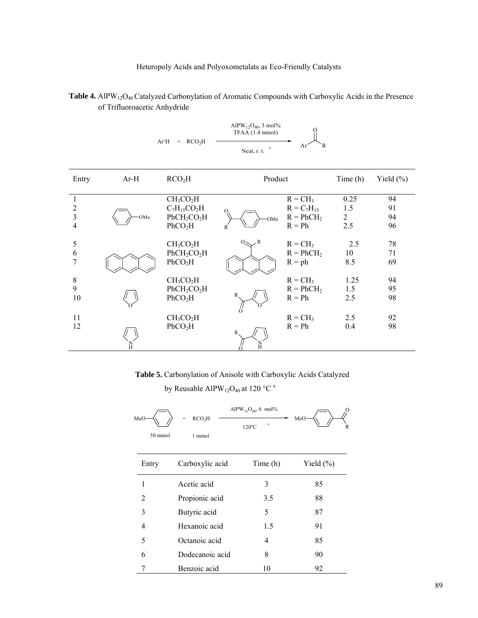|                |        | $+$ RCO <sub>2</sub> H<br>ArH       | AlPW <sub>12</sub> O <sub>40</sub> , 3 mol%<br>TFAA (1.4 mmol)<br>$\circ$<br>Neat, r. t. | R<br>Ar         |                |               |
|----------------|--------|-------------------------------------|------------------------------------------------------------------------------------------|-----------------|----------------|---------------|
| Entry          | $Ar-H$ | RCO <sub>2</sub> H                  | Product                                                                                  |                 | Time (h)       | Yield $(\% )$ |
| $\mathbf{1}$   |        | CH <sub>3</sub> CO <sub>2</sub> H   |                                                                                          | $R = CH_3$      | 0.25           | 94            |
| $\overline{2}$ |        | $C_7H_{15}CO_2H$                    |                                                                                          | $R = C_7H_{15}$ | 1.5            | 91            |
| $\overline{3}$ | OMe    | PhCH <sub>2</sub> CO <sub>2</sub> H | OMe                                                                                      | $R = PhCH2$     | $\overline{2}$ | 94            |
| 4              |        | PhCO <sub>2</sub> H                 | R                                                                                        | $R = Ph$        | 2.5            | 96            |
| 5              |        | CH <sub>3</sub> CO <sub>2</sub> H   | $\,$ <sub><math>\,</math></sub> $\,$ R<br>$O_{\leq}$                                     | $R = CH_3$      | 2.5            | 78            |
| 6              |        | PhCH <sub>2</sub> CO <sub>2</sub> H |                                                                                          | $R = PhCH2$     | 10             | 71            |
| 7              |        | PhCO <sub>2</sub> H                 |                                                                                          | $R = ph$        | 8.5            | 69            |
| $\,$ $\,$      |        | CH <sub>3</sub> CO <sub>2</sub> H   |                                                                                          | $R = CH_3$      | 1.25           | 94            |
| 9              |        | PhCH <sub>2</sub> CO <sub>2</sub> H |                                                                                          | $R = PhCH2$     | 1.5            | 95            |
| 10             |        | PhCO <sub>2</sub> H                 |                                                                                          | $R = Ph$        | 2.5            | 98            |
| 11             |        | CH <sub>3</sub> CO <sub>2</sub> H   |                                                                                          | $R = CH_3$      | 2.5            | 92            |
| 12             |        | PhCO <sub>2</sub> H                 | R                                                                                        | $R = Ph$        | 0.4            | 98            |
|                |        |                                     |                                                                                          |                 |                |               |

Table 4. AlPW<sub>12</sub>O<sub>40</sub> Catalyzed Carbonylation of Aromatic Compounds with Carboxylic Acids in the Presence of Trifluoroacetic Anhydride

 **Table 5.** Carbonylation of Anisole with Carboxylic Acids Catalyzed

by Reusable AlPW<sub>12</sub>O<sub>40</sub> at 120 °C<sup>a</sup>

| MeO<br>50 mmol | RCO <sub>2</sub> H<br>$+$<br>1 mmol | AlPW <sub>12</sub> O <sub>40</sub> , 6 mol%<br>$\circ$<br>$120^{\circ}$ C | $\Omega$<br>MeO<br>$\mathbb{R}$ |
|----------------|-------------------------------------|---------------------------------------------------------------------------|---------------------------------|
| Entry          | Carboxylic acid                     | Time (h)                                                                  | Yield $(\%)$                    |
| 1              | Acetic acid                         | 3                                                                         | 85                              |
| $\mathfrak{D}$ | Propionic acid                      | 3.5                                                                       | 88                              |
| 3              | Butyric acid                        | 5                                                                         | 87                              |
| 4              | Hexanoic acid                       | 1.5                                                                       | 91                              |
| 5              | Octanoic acid                       | 4                                                                         | 85                              |
| 6              | Dodecanoic acid                     | 8                                                                         | 90                              |
| 7              | Benzoic acid                        | 10                                                                        | 92                              |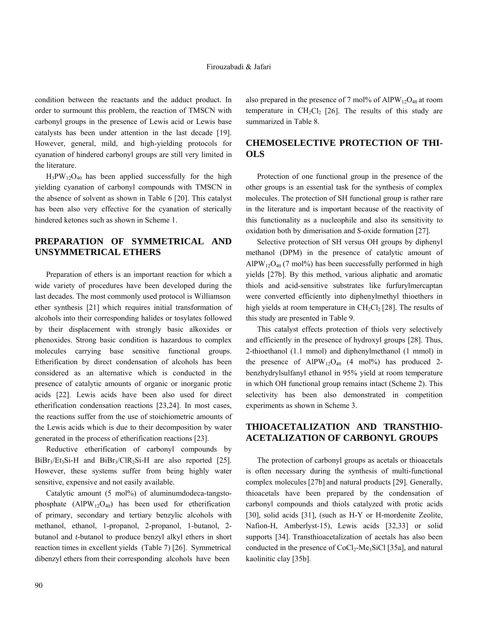condition between the reactants and the adduct product. In order to surmount this problem, the reaction of TMSCN with carbonyl groups in the presence of Lewis acid or Lewis base catalysts has been under attention in the last decade [19]. However, general, mild, and high-yielding protocols for cyanation of hindered carbonyl groups are still very limited in the literature.

 $H_3PW_{12}O_{40}$  has been applied successfully for the high yielding cyanation of carbonyl compounds with TMSCN in the absence of solvent as shown in Table 6 [20]. This catalyst has been also very effective for the cyanation of sterically hindered ketones such as shown in Scheme 1.

## **PREPARATION OF SYMMETRICAL AND UNSYMMETRICAL ETHERS**

 Preparation of ethers is an important reaction for which a wide variety of procedures have been developed during the last decades. The most commonly used protocol is Williamson ether synthesis [21] which requires initial transformation of alcohols into their corresponding halides or tosylates followed by their displacement with strongly basic alkoxides or phenoxides. Strong basic condition is hazardous to complex molecules carrying base sensitive functional groups. Etherification by direct condensation of alcohols has been considered as an alternative which is conducted in the presence of catalytic amounts of organic or inorganic protic acids [22]. Lewis acids have been also used for direct etherification condensation reactions [23,24]. In most cases, the reactions suffer from the use of stoichiometric amounts of the Lewis acids which is due to their decomposition by water generated in the process of etherification reactions [23].

 Reductive etherification of carbonyl compounds by  $BiBr<sub>3</sub>/Et<sub>3</sub>Si-H$  and  $BiBr<sub>3</sub>/CIR<sub>2</sub>Si-H$  are also reported [25]. However, these systems suffer from being highly water sensitive, expensive and not easily available.

Catalytic amount (5 mol%) of aluminumdodeca-tangstophosphate  $(AIPW_{12}O_{40})$  has been used for etherification of primary, secondary and tertiary benzylic alcohols with methanol, ethanol, 1-propanol, 2-propanol, 1-butanol, 2 butanol and *t*-butanol to produce benzyl alkyl ethers in short reaction times in excellent yields (Table 7) [26]. Symmetrical dibenzyl ethers from their corresponding alcohols have been

also prepared in the presence of 7 mol% of AlPW<sub>12</sub>O<sub>40</sub> at room temperature in  $CH_2Cl_2$  [26]. The results of this study are summarized in Table 8.

## **CHEMOSELECTIVE PROTECTION OF THI-OLS**

 Protection of one functional group in the presence of the other groups is an essential task for the synthesis of complex molecules. The protection of SH functional group is rather rare in the literature and is important because of the reactivity of this functionality as a nucleophile and also its sensitivity to oxidation both by dimerisation and *S*-oxide formation [27].

 Selective protection of SH versus OH groups by diphenyl methanol (DPM) in the presence of catalytic amount of  $AIPW_{12}O_{40}$  (7 mol%) has been successfully performed in high yields [27b]. By this method, various aliphatic and aromatic thiols and acid-sensitive substrates like furfurylmercaptan were converted efficiently into diphenylmethyl thioethers in high yields at room temperature in  $CH_2Cl_2$  [28]. The results of this study are presented in Table 9.

This catalyst effects protection of thiols very selectively and efficiently in the presence of hydroxyl groups [28]. Thus, 2-thioethanol (1.1 mmol) and diphenylmethanol (1 mmol) in the presence of  $AlPW_{12}O_{40}$  (4 mol%) has produced 2benzhydrylsulfanyl ethanol in 95% yield at room temperature in which OH functional group remains intact (Scheme 2). This selectivity has been also demonstrated in competition experiments as shown in Scheme 3.

# **THIOACETALIZATION AND TRANSTHIO-ACETALIZATION OF CARBONYL GROUPS**

 The protection of carbonyl groups as acetals or thioacetals is often necessary during the synthesis of multi-functional complex molecules[27b] and natural products [29]. Generally, thioacetals have been prepared by the condensation of carbonyl compounds and thiols catalyzed with protic acids [30], solid acids [31], (such as H-Y or H-mordenite Zeolite, Nafion-H, Amberlyst-15), Lewis acids [32,33] or solid supports [34]. Transthioacetalization of acetals has also been conducted in the presence of  $CoCl<sub>2</sub>-Me<sub>3</sub>SiCl$  [35a], and natural kaolinitic clay [35b].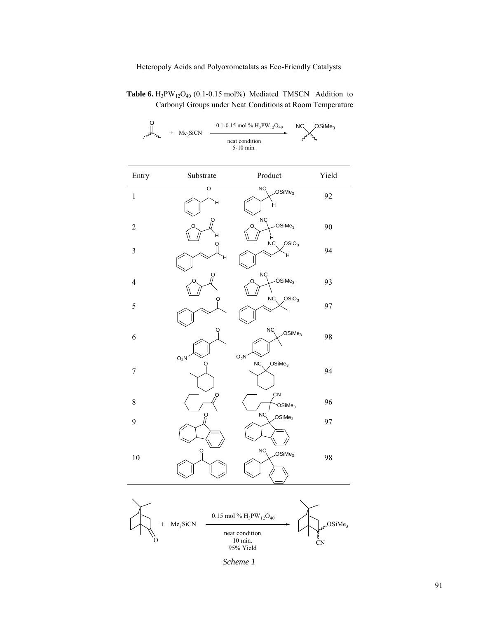Table 6.  $H_3PW_{12}O_{40}$  (0.1-0.15 mol%) Mediated TMSCN Addition to Carbonyl Groups under Neat Conditions at Room Temperature



| Entry          | Substrate | Product                                           | Yield |
|----------------|-----------|---------------------------------------------------|-------|
| $\,1\,$        | ö<br>Ή    | NC<br>OSiMe <sub>3</sub><br>Η                     | 92    |
| $\overline{c}$ | ဝှ<br>Ή   | <b>NC</b><br>OSiMe <sub>3</sub><br>∩<br>$H$<br>NC | 90    |
| $\mathfrak{Z}$ | О<br>Ή    | OSiO <sub>3</sub><br>Ή                            | 94    |
| 4              | O         | <b>NC</b><br>OSiMe <sub>3</sub>                   | 93    |
| 5              | ö         | NC<br>OSiO <sub>3</sub>                           | 97    |
| 6              |           | NC<br>OSiMe <sub>3</sub>                          | 98    |
| $\overline{7}$ | $O_2N$    | $O_2N$<br>NC<br>OSiMe <sub>3</sub>                | 94    |
| 8              | O,        | CN<br>OSiMe <sub>3</sub>                          | 96    |
| 9              | O         | NC,<br>OSiMe <sub>3</sub>                         | 97    |
| 10             | $\Omega$  | NC <sub>.</sub><br>OSiMe <sub>3</sub>             | 98    |



*Scheme 1*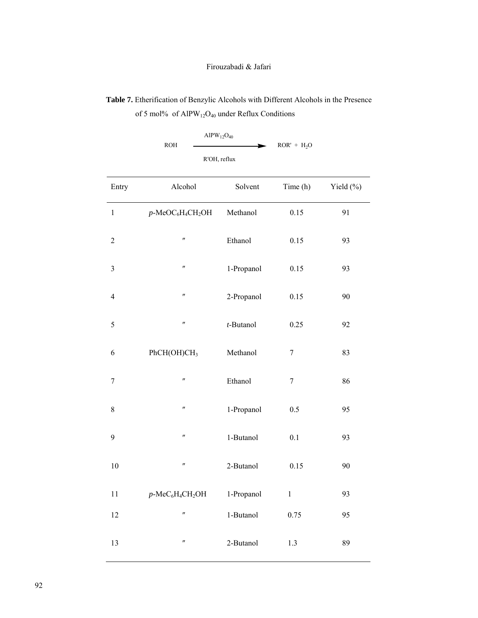**Table 7.** Etherification of Benzylic Alcohols with Different Alcohols in the Presence of 5 mol% of AlPW<sub>12</sub>O<sub>40</sub> under Reflux Conditions

$$
ROH \longrightarrow ROR' + H_2O
$$
   
 
$$
R'OH, reflux \longrightarrow ROR' + H_2O
$$

| Entry            | Alcohol                                                  | Solvent    | Time (h)         | Yield (%) |
|------------------|----------------------------------------------------------|------------|------------------|-----------|
| $\,1\,$          | $p$ -MeOC <sub>6</sub> H <sub>4</sub> CH <sub>2</sub> OH | Methanol   | 0.15             | 91        |
| $\sqrt{2}$       | $^{\prime\prime}$                                        | Ethanol    | 0.15             | 93        |
| $\mathfrak{Z}$   | $^{\prime\prime}$                                        | 1-Propanol | 0.15             | 93        |
| $\overline{4}$   | $\pmb{\mathcal{H}}$                                      | 2-Propanol | 0.15             | 90        |
| 5                | $^{\prime\prime}$                                        | t-Butanol  | 0.25             | 92        |
| 6                | PhCH(OH)CH <sub>3</sub>                                  | Methanol   | 7                | 83        |
| $\boldsymbol{7}$ | $^{\prime\prime}$                                        | Ethanol    | $\boldsymbol{7}$ | 86        |
| $8\,$            | $^{\prime\prime}$                                        | 1-Propanol | 0.5              | 95        |
| 9                | $^{\prime\prime}$                                        | 1-Butanol  | 0.1              | 93        |
| 10               | $^{\prime\prime}$                                        | 2-Butanol  | 0.15             | 90        |
| 11               | $p$ -Me $C_6H_4CH_2OH$                                   | 1-Propanol | $\,1$            | 93        |
| 12               | $^{\prime\prime}$                                        | 1-Butanol  | 0.75             | 95        |
| 13               | $^{\prime\prime}$                                        | 2-Butanol  | 1.3              | 89        |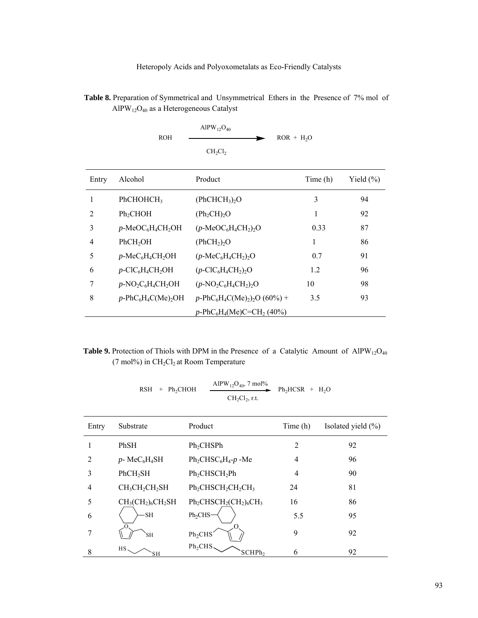Table 8. Preparation of Symmetrical and Unsymmetrical Ethers in the Presence of 7% mol of AlPW12O40 as a Heterogeneous Catalyst

|     | AlPW <sub>12</sub> O <sub>40</sub> |             |
|-----|------------------------------------|-------------|
| ROH |                                    | $ROR + H2O$ |
|     | $CH_2Cl_2$                         |             |

| Entry          | Alcohol                                                               | Product                                                                | Time (h) | Yield $(\% )$ |
|----------------|-----------------------------------------------------------------------|------------------------------------------------------------------------|----------|---------------|
|                | PhCHOHCH <sub>3</sub>                                                 | (PhCHCH <sub>3</sub> ) <sub>2</sub> O                                  | 3        | 94            |
| 2              | Ph <sub>2</sub> CHOH                                                  | (Ph <sub>2</sub> CH) <sub>2</sub> O                                    | 1        | 92            |
| 3              | $p$ -MeOC <sub>6</sub> H <sub>4</sub> CH <sub>2</sub> OH              | $(p\text{-MeOC}_6H_4CH_2)_2O$                                          | 0.33     | 87            |
| $\overline{4}$ | PhCH <sub>2</sub> OH                                                  | (PhCH <sub>2</sub> ) <sub>2</sub> O                                    | 1        | 86            |
| 5              | $p$ -MeC <sub>6</sub> H <sub>4</sub> CH <sub>2</sub> OH               | $(p\text{-MeC}_6\text{H}_4\text{CH}_2)_2\text{O}$                      | 0.7      | 91            |
| 6              | $p$ -ClC <sub>6</sub> H <sub>4</sub> CH <sub>2</sub> OH               | $(p$ -ClC <sub>6</sub> H <sub>4</sub> CH <sub>2</sub> ) <sub>2</sub> O | 1.2      | 96            |
| 7              | $p$ -NO <sub>2</sub> C <sub>6</sub> H <sub>4</sub> CH <sub>2</sub> OH | $(p\text{-}NO_2C_6H_4CH_2)_2O$                                         | 10       | 98            |
| 8              | $p$ -PhC <sub>6</sub> H <sub>4</sub> C(Me) <sub>2</sub> OH            | $p\text{-}PhC_6H_4C(Me)_2_2O(60\%) +$                                  | 3.5      | 93            |
|                |                                                                       | $p$ -PhC <sub>6</sub> H <sub>4</sub> (Me)C=CH <sub>2</sub> (40%)       |          |               |

## **Table 9.** Protection of Thiols with DPM in the Presence of a Catalytic Amount of  $AIPW_{12}O_{40}$ (7 mol%) in  $CH<sub>2</sub>Cl<sub>2</sub>$  at Room Temperature

$$
RSH + Ph_2CHOH \xrightarrow{AlPW_{12}O_{40}, 7 \text{ mol\%}} Ph_2HCSR + H_2O
$$

| Entry | Substrate            | Product                                   | Time (h)       | Isolated yield $(\% )$ |
|-------|----------------------|-------------------------------------------|----------------|------------------------|
|       | PhSH                 | Ph <sub>2</sub> CHSPh                     | $\overline{2}$ | 92                     |
| 2     | $p$ - Me $C_6H_4SH$  | $Ph_2CHSC_6H_4-p$ -Me                     | 4              | 96                     |
| 3     | PhCH <sub>2</sub> SH | Ph <sub>2</sub> CHSCH <sub>2</sub> Ph     | 4              | 90                     |
| 4     | $CH3CH2CH2SH$        | $Ph_2CHSCH_2CH_2CH_3$                     | 24             | 81                     |
| 5     | $CH3(CH2)6CH2SH$     | $Ph2CHSCH2(CH2)6CH3$                      | 16             | 86                     |
| 6     | <b>SH</b>            | Ph <sub>2</sub> CHS                       | 5.5            | 95                     |
| 7     | <b>SH</b>            | Ph <sub>2</sub> CHS                       | 9              | 92                     |
| 8     | HS.<br>SН            | Ph <sub>2</sub> CHS<br>SCHPh <sub>2</sub> | 6              | 92                     |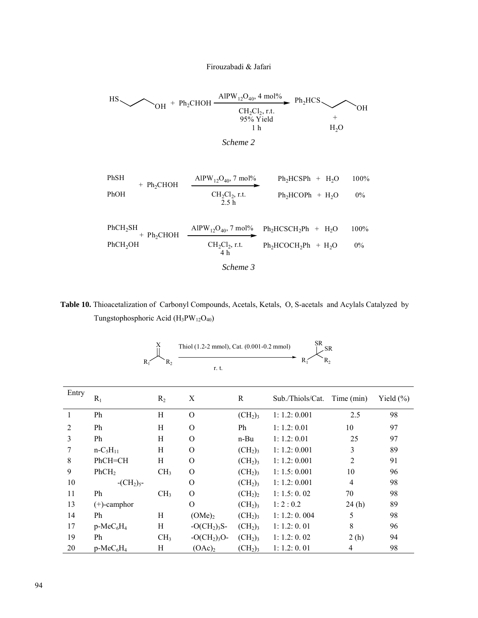$$
\begin{array}{c}\n\text{HS} \\
\text{OH} + \text{Ph}_2\text{CHOH} \xrightarrow{\text{AIPW}_{12}\text{O}_{40}, 4 \text{ mol\%}} \text{Ph}_2\text{HCS} \\
\text{CH}_2\text{Cl}_2, \text{r.t.} \\
\text{95% Yield} \\
\text{1 h} \\
\text{H}_2\text{O}\n\end{array}
$$

```
Scheme 2
```

$$
\begin{array}{cccc}\n\text{PhSH} & + \text{Ph}_2\text{CHOH} & \xrightarrow{\text{AlPW}_{12}\text{O}_{40}, 7 \text{ mol\%}} & \text{Ph}_2\text{HCSPh} + \text{H}_2\text{O} & 100\% \\
\text{PhOH} & \xrightarrow{\text{CH}_2\text{Cl}_2, \text{r.t.}} & \text{Ph}_2\text{HCOPh} + \text{H}_2\text{O} & 0\% \\
& & 2.5 \text{ h} & \n\end{array}
$$

$$
\begin{array}{cccc}\n\text{PhCH}_2\text{SH} & \text{AlPW}_{12}\text{O}_{40}, \, 7 \text{ mol\%} & \text{Ph}_2\text{HCSCH}_2\text{Ph} + \text{H}_2\text{O} & 100\% \\
\text{PhCH}_2\text{OH} & \text{CH}_2\text{Cl}_2, \text{r.t.} & \text{Ph}_2\text{HCOCH}_2\text{Ph} + \text{H}_2\text{O} & 0\% \\
 & \text{Ch}_2\text{Cl}_2, \text{r.t.} & \text{Ph}_2\text{HCOCH}_2\text{Ph} + \text{H}_2\text{O} & 0\% \\
\end{array}
$$

*Scheme 3* 

 **Table 10.** Thioacetalization of Carbonyl Compounds, Acetals, Ketals, O, S-acetals and Acylals Catalyzed by Tungstophosphoric Acid (H3PW12O40)

$$
R_1 \xrightarrow{\text{X}} R_2 \xrightarrow{\text{Thiol } (1.2-2 \text{ mmol}), \text{Cat. } (0.001-0.2 \text{ mmol})} R_1 \xrightarrow{\text{SR}} R_2
$$

| Entry | $R_1$                 | R <sub>2</sub>  | X                  | R                               | Sub./Thiols/Cat. | Time (min)     | Yield $(\% )$ |
|-------|-----------------------|-----------------|--------------------|---------------------------------|------------------|----------------|---------------|
| 1     | Ph                    | H               | $\Omega$           | (CH <sub>2</sub> ) <sub>3</sub> | 1: 1.2: 0.001    | 2.5            | 98            |
| 2     | Ph                    | H               | O                  | Ph                              | 1: 1.2: 0.01     | 10             | 97            |
| 3     | Ph                    | H               | $\Omega$           | n-Bu                            | 1: 1.2: 0.01     | 25             | 97            |
|       | $n - C_5H_{11}$       | Η               | $\Omega$           | $(CH_2)_3$                      | 1: 1.2: 0.001    | 3              | 89            |
| 8     | PhCH=CH               | H               | $\Omega$           | (CH <sub>2</sub> ) <sub>3</sub> | 1: 1.2: 0.001    | $\overline{2}$ | 91            |
| 9     | PhCH <sub>2</sub>     | CH <sub>3</sub> | O                  | (CH <sub>2</sub> ) <sub>3</sub> | 1: 1.5: 0.001    | 10             | 96            |
| 10    | $-CH2$ <sub>5</sub> - |                 | $\Omega$           | (CH <sub>2</sub> ) <sub>3</sub> | 1: 1.2: 0.001    | 4              | 98            |
| 11    | Ph                    | CH <sub>3</sub> | $\Omega$           | (CH <sub>2</sub> ) <sub>2</sub> | 1: 1.5: 0.02     | 70             | 98            |
| 13    | $(+)$ -camphor        |                 | $\Omega$           | (CH <sub>2</sub> ) <sub>3</sub> | 1:2:0.2          | 24(h)          | 89            |
| 14    | Ph                    | H               | (OMe) <sub>2</sub> | (CH <sub>2</sub> ) <sub>3</sub> | 1: 1.2: 0.004    | 5              | 98            |
| 17    | $p-MeC_6H_4$          | H               | $-O(CH2)3S-$       | (CH <sub>2</sub> ) <sub>3</sub> | 1: 1.2: 0.01     | 8              | 96            |
| 19    | Ph                    | CH <sub>3</sub> | $-O(CH2)3O-$       | (CH <sub>2</sub> ) <sub>3</sub> | 1: 1.2: 0.02     | 2(h)           | 94            |
| 20    | $p-MeC_6H_4$          | Н               | $(OAc)_2$          | (CH <sub>2</sub> ) <sub>3</sub> | 1: 1.2: 0.01     | 4              | 98            |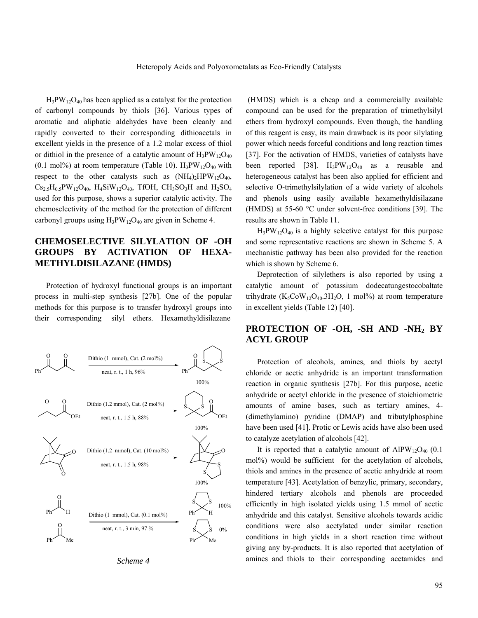$H_3PW_{12}O_{40}$  has been applied as a catalyst for the protection of carbonyl compounds by thiols [36]. Various types of aromatic and aliphatic aldehydes have been cleanly and rapidly converted to their corresponding dithioacetals in excellent yields in the presence of a 1.2 molar excess of thiol or dithiol in the presence of a catalytic amount of  $H_3PW_{12}O_{40}$  $(0.1 \text{ mol})\%$  at room temperature (Table 10).  $H_3PW_{12}O_{40}$  with respect to the other catalysts such as  $(NH<sub>4</sub>)<sub>2</sub>HPW<sub>12</sub>O<sub>40</sub>$ ,  $Cs_{2.5}H_{0.5}PW_{12}O_{40}$ ,  $H_4SiW_{12}O_{40}$ , TfOH,  $CH_3SO_3H$  and  $H_2SO_4$ used for this purpose, shows a superior catalytic activity. The chemoselectivity of the method for the protection of different carbonyl groups using  $H_3PW_{12}O_{40}$  are given in Scheme 4.

# **CHEMOSELECTIVE SILYLATION OF -OH GROUPS BY ACTIVATION OF HEXA-METHYLDISILAZANE (HMDS)**

 Protection of hydroxyl functional groups is an important process in multi-step synthesis [27b]. One of the popular methods for this purpose is to transfer hydroxyl groups into their corresponding silyl ethers. Hexamethyldisilazane



*Scheme 4* 

 (HMDS) which is a cheap and a commercially available compound can be used for the preparation of trimethylsilyl ethers from hydroxyl compounds. Even though, the handling of this reagent is easy, its main drawback is its poor silylating power which needs forceful conditions and long reaction times [37]. For the activation of HMDS, varieties of catalysts have been reported [38].  $H_3PW_{12}O_{40}$  as a reusable and heterogeneous catalyst has been also applied for efficient and selective O-trimethylsilylation of a wide variety of alcohols and phenols using easily available hexamethyldisilazane (HMDS) at 55-60 °C under solvent-free conditions [39]. The results are shown in Table 11.

 $H_3PW_{12}O_{40}$  is a highly selective catalyst for this purpose and some representative reactions are shown in Scheme 5. A mechanistic pathway has been also provided for the reaction which is shown by Scheme 6.

 Deprotection of silylethers is also reported by using a catalytic amount of potassium dodecatungestocobaltate trihydrate (K<sub>5</sub>CoW<sub>12</sub>O<sub>40</sub>.3H<sub>2</sub>O, 1 mol%) at room temperature in excellent yields (Table 12) [40].

## **PROTECTION OF -OH, -SH AND -NH2 BY ACYL GROUP**

 Protection of alcohols, amines, and thiols by acetyl chloride or acetic anhydride is an important transformation reaction in organic synthesis [27b]. For this purpose, acetic anhydride or acetyl chloride in the presence of stoichiometric amounts of amine bases, such as tertiary amines, 4- (dimethylamino) pyridine (DMAP) and tributylphosphine have been used [41]. Protic or Lewis acids have also been used to catalyze acetylation of alcohols [42].

It is reported that a catalytic amount of  $AlPW_{12}O_{40}$  (0.1) mol%) would be sufficient for the acetylation of alcohols, thiols and amines in the presence of acetic anhydride at room temperature [43]. Acetylation of benzylic, primary, secondary, hindered tertiary alcohols and phenols are proceeded efficiently in high isolated yields using 1.5 mmol of acetic anhydride and this catalyst. Sensitive alcohols towards acidic conditions were also acetylated under similar reaction conditions in high yields in a short reaction time without giving any by-products. It is also reported that acetylation of amines and thiols to their corresponding acetamides and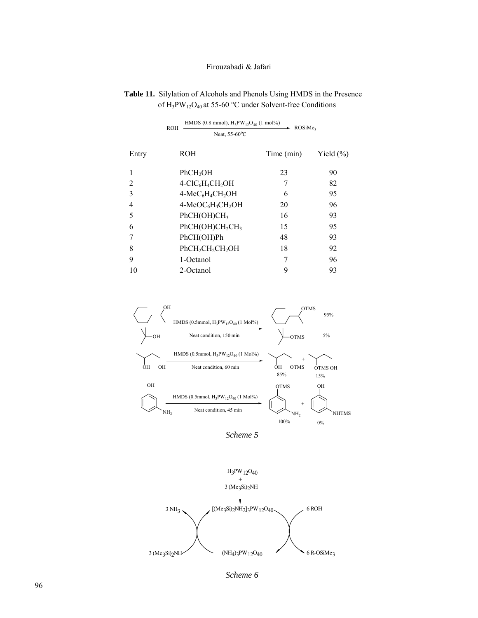|                | <b>ROH</b><br>Neat, 55-60°C                          | $+0$ .<br>$\sim$ ROSiMe <sub>3</sub> |              |
|----------------|------------------------------------------------------|--------------------------------------|--------------|
|                |                                                      |                                      |              |
| Entry          | <b>ROH</b>                                           | Time (min)                           | Yield $(\%)$ |
| 1              | PhCH <sub>2</sub> OH                                 | 23                                   | 90           |
| $\overline{c}$ | $4-CIC6H4CH2OH$                                      |                                      | 82           |
| 3              | $4-MeC6H4CH2OH$                                      | 6                                    | 95           |
| 4              | $4-MeOC6H4CH2OH$                                     | 20                                   | 96           |
| 5              | PhCH(OH)CH <sub>3</sub>                              | 16                                   | 93           |
| 6              | PhCH(OH)CH <sub>2</sub> CH <sub>3</sub>              | 15                                   | 95           |
| 7              | PhCH(OH)Ph                                           | 48                                   | 93           |
| 8              | PhCH <sub>2</sub> CH <sub>2</sub> CH <sub>2</sub> OH | 18                                   | 92           |
| 9              | 1-Octanol                                            |                                      | 96           |
| 10             | 2-Octanol                                            | 9                                    | 93           |

 **Table 11.** Silylation of Alcohols and Phenols Using HMDS in the Presence of H3PW12O40 at 55-60 °C under Solvent-free Conditions

HMDS (0.8 mmol),  $H_3PW_{12}O_{40}$  (1 mol%)

ROH



*Scheme 5* 



*Scheme 6*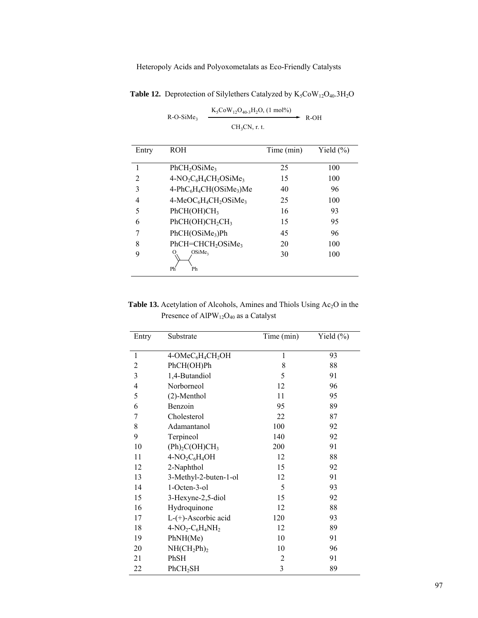| Entry | <b>ROH</b>                                                            | Time (min) | Yield $(\% )$ |
|-------|-----------------------------------------------------------------------|------------|---------------|
|       | PhCH <sub>2</sub> OSiMe <sub>3</sub>                                  | 25         | 100           |
| 2     | $4-NO_2C_6H_4CH_2OSiMe_3$                                             | 15         | 100           |
| 3     | $4-\text{PhC}_6\text{H}_4\text{CH}(\text{OSiMe}_3)$ Me                | 40         | 96            |
| 4     | 4-MeOC <sub>6</sub> H <sub>4</sub> CH <sub>2</sub> OSiMe <sub>3</sub> | 25         | 100           |
| 5     | PhCH(OH)CH <sub>3</sub>                                               | 16         | 93            |
| 6     | PhCH(OH)CH <sub>2</sub> CH <sub>3</sub>                               | 15         | 95            |
|       | PhCH(OSiMe <sub>3</sub> )Ph                                           | 45         | 96            |
| 8     | PhCH=CHCH <sub>2</sub> OSiMe3                                         | 20         | 100           |
| 9     | OSiMe <sub>3</sub><br>Ph<br>Ph                                        | 30         | 100           |

**Table 12.** Deprotection of Silylethers Catalyzed by  $K_5C_0W_{12}O_{40}.3H_2O$ 

 $K_5Cow_{12}O_{40-3}H_2O$ , (1 mol%)  $CH<sub>3</sub>CN, r. t.$  $R-O-SiMe<sub>3</sub>$   $R-OH$ 

Table 13. Acetylation of Alcohols, Amines and Thiols Using Ac<sub>2</sub>O in the Presence of AlPW<sub>12</sub>O<sub>40</sub> as a Catalyst

| Entry          | Substrate                                             | Time (min)     | Yield (%) |
|----------------|-------------------------------------------------------|----------------|-----------|
| $\mathbf{1}$   | 4-OMeC <sub>6</sub> H <sub>4</sub> CH <sub>2</sub> OH | $\mathbf{1}$   | 93        |
| $\overline{2}$ | PhCH(OH)Ph                                            | 8              | 88        |
| 3              | 1,4-Butandiol                                         | 5              | 91        |
| 4              | Norborneol                                            | 12             | 96        |
| 5              | $(2)$ -Menthol                                        | 11             | 95        |
| 6              | Benzoin                                               | 95             | 89        |
| 7              | Cholesterol                                           | 22             | 87        |
| 8              | Adamantanol                                           | 100            | 92        |
| 9              | Terpineol                                             | 140            | 92        |
| 10             | (Ph) <sub>2</sub> C(OH)CH <sub>3</sub>                | 200            | 91        |
| 11             | $4-NO2C6H4OH$                                         | 12             | 88        |
| 12             | 2-Naphthol                                            | 15             | 92        |
| 13             | 3-Methyl-2-buten-1-ol                                 | 12             | 91        |
| 14             | 1-Octen-3-ol                                          | 5              | 93        |
| 15             | 3-Hexyne-2,5-diol                                     | 15             | 92        |
| 16             | Hydroquinone                                          | 12             | 88        |
| 17             | $L-(+)$ -Ascorbic acid                                | 120            | 93        |
| 18             | $4-NO2-C6H4NH2$                                       | 12             | 89        |
| 19             | PhNH(Me)                                              | 10             | 91        |
| 20             | $NH(CH_2Ph)_2$                                        | 10             | 96        |
| 21             | PhSH                                                  | $\mathfrak{2}$ | 91        |
| 22             | PhCH <sub>2</sub> SH                                  | 3              | 89        |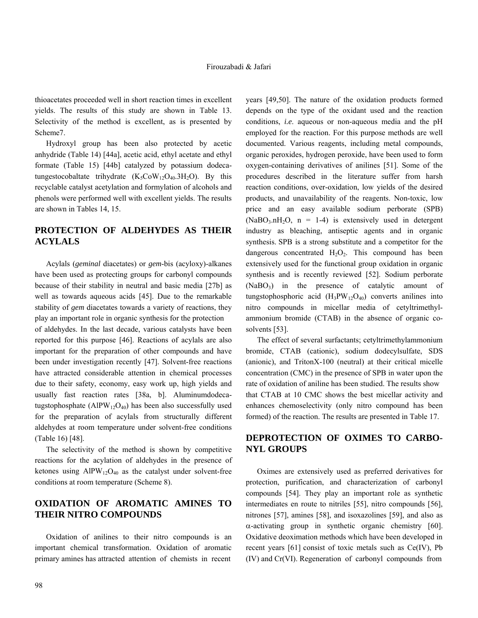thioacetates proceeded well in short reaction times in excellent yields. The results of this study are shown in Table 13. Selectivity of the method is excellent, as is presented by Scheme7.

 Hydroxyl group has been also protected by acetic anhydride (Table 14) [44a], acetic acid, ethyl acetate and ethyl formate (Table 15) [44b] catalyzed by potassium dodecatungestocobaltate trihydrate  $(K_5CoW_{12}O_{40}.3H_2O)$ . By this recyclable catalyst acetylation and formylation of alcohols and phenols were performed well with excellent yields. The results are shown in Tables 14, 15.

# **PROTECTION OF ALDEHYDES AS THEIR ACYLALS**

 Acylals (*geminal* diacetates) or *gem*-bis (acyloxy)-alkanes have been used as protecting groups for carbonyl compounds because of their stability in neutral and basic media [27b] as well as towards aqueous acids [45]. Due to the remarkable stability of *gem* diacetates towards a variety of reactions, they play an important role in organic synthesis for the protection

of aldehydes. In the last decade, various catalysts have been reported for this purpose [46]. Reactions of acylals are also important for the preparation of other compounds and have been under investigation recently [47]. Solvent-free reactions have attracted considerable attention in chemical processes due to their safety, economy, easy work up, high yields and usually fast reaction rates [38a, b]. Aluminumdodecatugstophosphate (AlPW<sub>12</sub>O<sub>40</sub>) has been also successfully used for the preparation of acylals from structurally different aldehydes at room temperature under solvent-free conditions (Table 16) [48].

 The selectivity of the method is shown by competitive reactions for the acylation of aldehydes in the presence of ketones using  $AIPW_{12}O_{40}$  as the catalyst under solvent-free conditions at room temperature (Scheme 8).

## **OXIDATION OF AROMATIC AMINES TO THEIR NITRO COMPOUNDS**

 Oxidation of anilines to their nitro compounds is an important chemical transformation. Oxidation of aromatic primary amines has attracted attention of chemists in recent years [49,50]. The nature of the oxidation products formed depends on the type of the oxidant used and the reaction conditions, *i.e*. aqueous or non-aqueous media and the pH employed for the reaction. For this purpose methods are well documented. Various reagents, including metal compounds, organic peroxides, hydrogen peroxide, have been used to form oxygen-containing derivatives of anilines [51]. Some of the procedures described in the literature suffer from harsh reaction conditions, over-oxidation, low yields of the desired products, and unavailability of the reagents. Non-toxic, low price and an easy available sodium perborate (SPB)  $(NaBO<sub>3</sub>.nH<sub>2</sub>O, n = 1-4)$  is extensively used in detergent industry as bleaching, antiseptic agents and in organic synthesis. SPB is a strong substitute and a competitor for the dangerous concentrated  $H_2O_2$ . This compound has been extensively used for the functional group oxidation in organic synthesis and is recently reviewed [52]. Sodium perborate  $(NaBO<sub>3</sub>)$  in the presence of catalytic amount of tungstophosphoric acid  $(H_3PW_{12}O_{40})$  converts anilines into nitro compounds in micellar media of cetyltrimethylammonium bromide (CTAB) in the absence of organic cosolvents [53].

 The effect of several surfactants; cetyltrimethylammonium bromide, CTAB (cationic), sodium dodecylsulfate, SDS (anionic), and TritonX-100 (neutral) at their critical micelle concentration (CMC) in the presence of SPB in water upon the rate of oxidation of aniline has been studied. The results show that CTAB at 10 CMC shows the best micellar activity and enhances chemoselectivity (only nitro compound has been formed) of the reaction. The results are presented in Table 17.

## **DEPROTECTION OF OXIMES TO CARBO-NYL GROUPS**

 Oximes are extensively used as preferred derivatives for protection, purification, and characterization of carbonyl compounds [54]. They play an important role as synthetic intermediates en route to nitriles [55], nitro compounds [56], nitrones [57], amines [58], and isoxazolines [59], and also as α-activating group in synthetic organic chemistry [60]. Oxidative deoximation methods which have been developed in recent years [61] consist of toxic metals such as Ce(IV), Pb (IV) and Cr(VI). Regeneration of carbonyl compounds from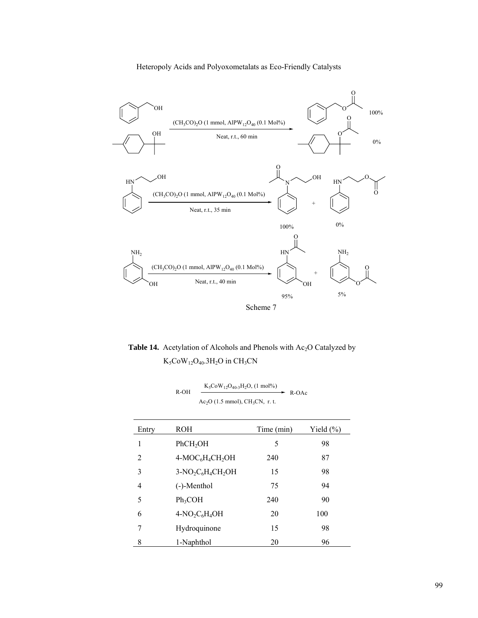

Table 14. Acetylation of Alcohols and Phenols with Ac<sub>2</sub>O Catalyzed by  $K_5$ CoW<sub>12</sub>O<sub>40</sub>.3H<sub>2</sub>O in CH<sub>3</sub>CN

| R-OH | $K_5COW_{12}O_{40-3}H_2O$ , (1 mol%) | R-OAc |
|------|--------------------------------------|-------|
|      | $Ac_2O$ (1.5 mmol), $CH_3CN$ , r.t.  |       |

| Entry | ROH                                                  | Time (min) | Yield $(\%)$ |
|-------|------------------------------------------------------|------------|--------------|
| 1     | PhCH <sub>2</sub> OH                                 | 5          | 98           |
| 2     | 4-MOC <sub>6</sub> H <sub>4</sub> CH <sub>2</sub> OH | 240        | 87           |
| 3     | $3-NO2C6H4CH2OH$                                     | 15         | 98           |
| 4     | $(-)$ -Menthol                                       | 75         | 94           |
| 5     | $Ph_3COH$                                            | 240        | 90           |
| 6     | $4-NO2C6H4OH$                                        | 20         | 100          |
| 7     | Hydroquinone                                         | 15         | 98           |
| 8     | 1-Naphthol                                           | 20         | 96           |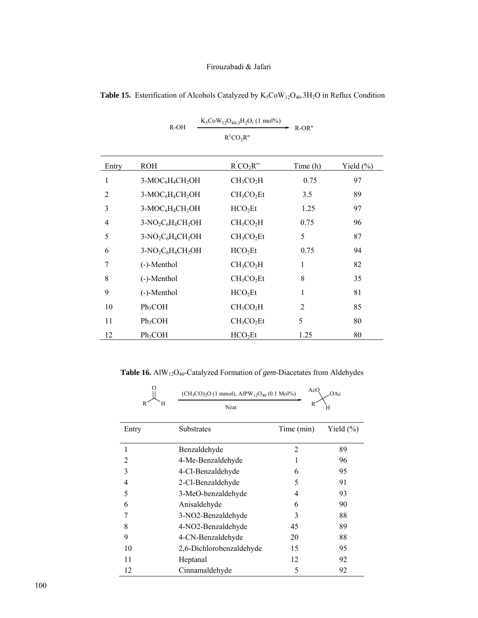|       | $R-OH$                                               | $K_5$ Co $W_{12}O_{40-3}H_2O$ , (1 mol%) | $R-OR"$  |              |
|-------|------------------------------------------------------|------------------------------------------|----------|--------------|
|       |                                                      | $R^1CO_2R''$                             |          |              |
| Entry | <b>ROH</b>                                           | $R^{\prime}CO_2R^{\prime\prime}$         | Time (h) | Yield $(\%)$ |
| 1     | 3-MOC <sub>6</sub> H <sub>4</sub> CH <sub>2</sub> OH | CH <sub>3</sub> CO <sub>2</sub> H        | 0.75     | 97           |
| 2     | 3-MOC <sub>6</sub> H <sub>4</sub> CH <sub>2</sub> OH | CH <sub>3</sub> CO <sub>2</sub> Et       | 3.5      | 89           |
| 3     | $3-MOC6H4CH2OH$                                      | HCO <sub>2</sub> Et                      | 1.25     | 97           |
| 4     | $3-NO2C6H4CH2OH$                                     | CH <sub>3</sub> CO <sub>2</sub> H        | 0.75     | 96           |
| 5     | $3-NO2C6H4CH2OH$                                     | CH <sub>3</sub> CO <sub>2</sub> Et       | 5        | 87           |
| 6     | $3-NO2C6H4CH2OH$                                     | HCO <sub>2</sub> Et                      | 0.75     | 94           |
| 7     | (-)-Menthol                                          | CH <sub>3</sub> CO <sub>2</sub> H        | 1        | 82           |
| 8     | (-)-Menthol                                          | CH <sub>3</sub> CO <sub>2</sub> Et       | 8        | 35           |
| 9     | (-)-Menthol                                          | HCO <sub>2</sub> Et                      | 1        | 81           |
| 10    | Ph <sub>3</sub> COH                                  | CH <sub>3</sub> CO <sub>2</sub> H        | 2        | 85           |
| 11    | Ph <sub>3</sub> COH                                  | CH <sub>3</sub> CO <sub>2</sub> Et       | 5        | 80           |
| 12    | $Ph_3COH$                                            | HCO <sub>2</sub> Et                      | 1.25     | 80           |

Table 15. Esterification of Alcohols Catalyzed by  $K_5C_0W_{12}O_{40}.3H_2O$  in Reflux Condition

**Table 16.** AlW12O40-Catalyzed Formation of *gem*-Diacetates from Aldehydes

|                | $(CH_3CO)_{2}O$ (1 mmol), AlPW <sub>12</sub> O <sub>40</sub> (0.1 Mol%) | AcO            | OAc           |
|----------------|-------------------------------------------------------------------------|----------------|---------------|
| H<br>R.        | Neat                                                                    | R              | H             |
| Entry          | Substrates                                                              | Time (min)     | Yield $(\% )$ |
| 1              | Benzaldehyde                                                            | $\overline{2}$ | 89            |
| $\overline{2}$ | 4-Me-Benzaldehyde                                                       | 1              | 96            |
| 3              | 4-Cl-Benzaldehyde                                                       | 6              | 95            |
| 4              | 2-Cl-Benzaldehyde                                                       | 5              | 91            |
| 5              | 3-MeO-benzaldehyde                                                      | 4              | 93            |
| 6              | Anisaldehyde                                                            | 6              | 90            |
|                | 3-NO2-Benzaldehyde                                                      | 3              | 88            |
| 8              | 4-NO2-Benzaldehyde                                                      | 45             | 89            |
| 9              | 4-CN-Benzaldehyde                                                       | 20             | 88            |
| 10             | 2,6-Dichlorobenzaldehyde                                                | 15             | 95            |
| 11             | Heptanal                                                                | 12             | 92            |
| 12             | Cinnamaldehyde                                                          | 5              | 92            |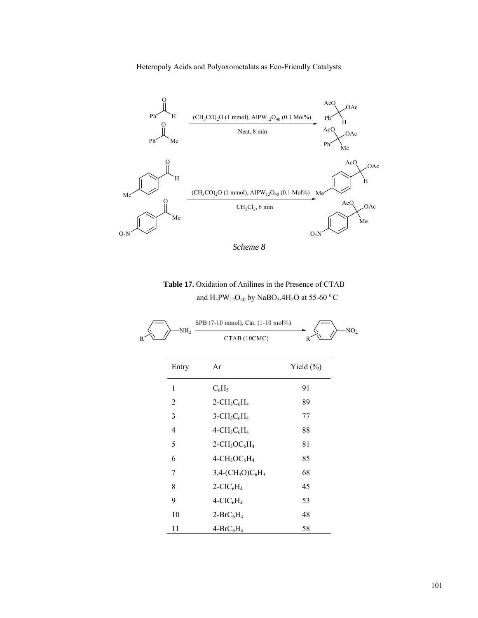Heteropoly Acids and Polyoxometalats as Eco-Friendly Catalysts



*Scheme 8* 

 **Table 17.** Oxidation of Anilines in the Presence of CTAB and  $\text{H}_{3}\text{PW}_{12}\text{O}_{40}$  by NaBO<sub>3</sub>.4H<sub>2</sub>O at 55-60  $^{\rm o}$  C

|   |                 | SPB (7-10 mmol), Cat. (1-10 mol%)                   |                       |
|---|-----------------|-----------------------------------------------------|-----------------------|
| R | NH <sub>2</sub> | CTAB (10CMC)                                        | NO <sub>2</sub><br>R. |
|   | Entry           | Ar                                                  | Yield $(\% )$         |
|   | 1               | $C_6H_5$                                            | 91                    |
|   | 2               | $2$ -CH <sub>3</sub> C <sub>6</sub> H <sub>4</sub>  | 89                    |
|   | 3               | $3$ -CH <sub>3</sub> C <sub>6</sub> H <sub>4</sub>  | 77                    |
|   | 4               | $4-CH_3C_6H_4$                                      | 88                    |
|   | 5               | $2$ -CH <sub>3</sub> OC <sub>6</sub> H <sub>4</sub> | 81                    |
|   | 6               | $4$ -CH <sub>3</sub> OC <sub>6</sub> H <sub>4</sub> | 85                    |
|   | 7               | $3,4-(CH3O)C6H3$                                    | 68                    |
|   | 8               | $2$ -ClC <sub>6</sub> H <sub>4</sub>                | 45                    |
|   | 9               | $4-CIC6H4$                                          | 53                    |
|   | 10              | $2-BrC_6H_4$                                        | 48                    |
|   | 11              | $4-BrC_6H_4$                                        | 58                    |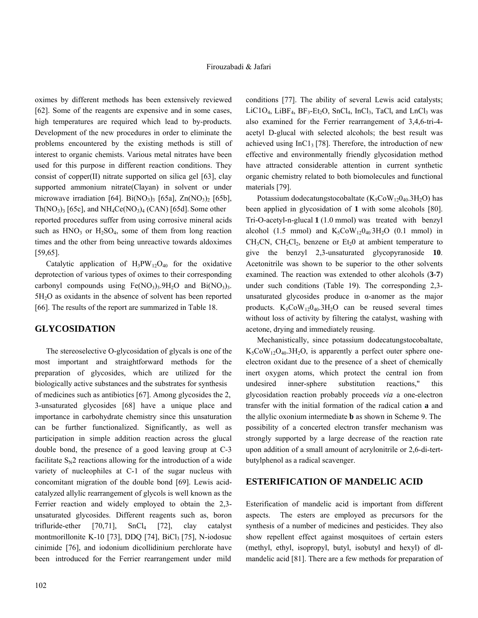oximes by different methods has been extensively reviewed [62]. Some of the reagents are expensive and in some cases, high temperatures are required which lead to by-products. Development of the new procedures in order to eliminate the problems encountered by the existing methods is still of interest to organic chemists. Various metal nitrates have been used for this purpose in different reaction conditions. They consist of copper(II) nitrate supported on silica gel [63], clay supported ammonium nitrate(Clayan) in solvent or under microwave irradiation [64]. Bi $(NO<sub>3</sub>)<sub>3</sub>$  [65a], Zn $(NO<sub>3</sub>)<sub>2</sub>$  [65b],  $Th(NO<sub>3</sub>)<sub>3</sub>$  [65c], and  $NH<sub>4</sub>Ce(NO<sub>3</sub>)<sub>4</sub>$  (CAN) [65d]. Some other reported procedures suffer from using corrosive mineral acids such as  $HNO<sub>3</sub>$  or  $H<sub>2</sub>SO<sub>4</sub>$ , some of them from long reaction times and the other from being unreactive towards aldoximes [59,65].

Catalytic application of  $H_3PW_{12}O_{40}$  for the oxidative deprotection of various types of oximes to their corresponding carbonyl compounds using  $Fe(NO<sub>3</sub>)<sub>3</sub>$ .  $9H<sub>2</sub>O$  and  $Bi(NO<sub>3</sub>)<sub>3</sub>$ . 5H2O as oxidants in the absence of solvent has been reported [66]. The results of the report are summarized in Table 18.

#### **GLYCOSIDATION**

 The stereoselective O-glycosidation of glycals is one of the most important and straightforward methods for the preparation of glycosides, which are utilized for the biologically active substances and the substrates for synthesis of medicines such as antibiotics [67]. Among glycosides the 2, 3-unsaturated glycosides [68] have a unique place and importance in carbohydrate chemistry since this unsaturation can be further functionalized. Significantly, as well as participation in simple addition reaction across the glucal double bond, the presence of a good leaving group at C-3 facilitate  $S_N2$  reactions allowing for the introduction of a wide variety of nucleophiles at C-1 of the sugar nucleus with concomitant migration of the double bond [69]. Lewis acidcatalyzed allylic rearrangement of glycols is well known as the Ferrier reaction and widely employed to obtain the 2,3 unsaturated glycosides. Different reagents such as, boron trifluride-ether  $[70,71]$ ,  $SnCl<sub>4</sub>$   $[72]$ , clay catalyst montmorillonite K-10 [73], DDQ [74], BiCl<sub>3</sub> [75], N-iodosuc cinimide [76], and iodonium dicollidinium perchlorate have been introduced for the Ferrier rearrangement under mild conditions [77]. The ability of several Lewis acid catalysts; LiC1O<sub>4</sub>, LiBF<sub>4</sub>, BF<sub>3</sub>-Et<sub>2</sub>O, SnCl<sub>4</sub>, InCl<sub>3</sub>, TaCl<sub>s</sub> and LnCl<sub>3</sub> was also examined for the Ferrier rearrangement of 3,4,6-tri-4 acetyl D-glucal with selected alcohols; the best result was achieved using  $InCl<sub>3</sub>[78]$ . Therefore, the introduction of new effective and environmentally friendly glycosidation method have attracted considerable attention in current synthetic organic chemistry related to both biomolecules and functional materials [79].

Potassium dodecatungstocobaltate ( $K_5CoW_{12}O_{40}.3H_2O$ ) has been applied in glycosidation of **1** with some alcohols [80]. Tri-O-acetyl-n-glucal **1** (1.0 mmol) was treated with benzyl alcohol (1.5 mmol) and  $K_5CoW_{12}O_{40}3H_2O$  (0.1 mmol) in  $CH<sub>3</sub>CN$ ,  $CH<sub>2</sub>Cl<sub>2</sub>$ , benzene or  $Et<sub>2</sub>0$  at ambient temperature to give the benzyl 2,3-unsaturated glycopyranoside **10**. Acetonitrile was shown to be superior to the other solvents examined. The reaction was extended to other alcohols (**3-7**) under such conditions (Table 19). The corresponding 2,3 unsaturated glycosides produce in  $\alpha$ -anomer as the major products.  $K_5CoW_{12}O_{40}.3H_2O$  can be reused several times without loss of activity by filtering the catalyst, washing with acetone, drying and immediately reusing.

 Mechanistically, since potassium dodecatungstocobaltate,  $K_5$ CoW<sub>12</sub>O<sub>40</sub>.3H<sub>2</sub>O, is apparently a perfect outer sphere oneelectron oxidant due to the presence of a sheet of chemically inert oxygen atoms, which protect the central ion from undesired inner-sphere substitution reactions," this glycosidation reaction probably proceeds *via* a one-electron transfer with the initial formation of the radical cation **a** and the allylic oxonium intermediate **b** as shown in Scheme 9. The possibility of a concerted electron transfer mechanism was strongly supported by a large decrease of the reaction rate upon addition of a small amount of acrylonitrile or 2,6-di-tertbutylphenol as a radical scavenger.

## **ESTERIFICATION OF MANDELIC ACID**

Esterification of mandelic acid is important from different aspects. The esters are employed as precursors for the synthesis of a number of medicines and pesticides. They also show repellent effect against mosquitoes of certain esters (methyl, ethyl, isopropyl, butyl, isobutyl and hexyl) of dlmandelic acid [81]. There are a few methods for preparation of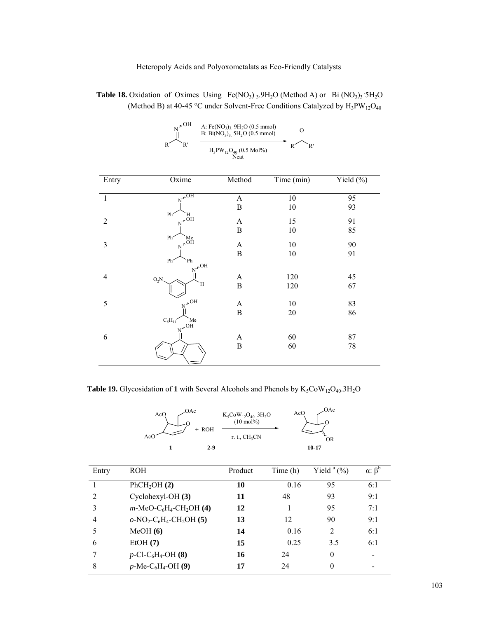**Table 18.** Oxidation of Oximes Using  $Fe(NO<sub>3</sub>)<sub>3</sub>$ .  $9H<sub>2</sub>O$  (Method A) or Bi (NO<sub>3</sub>)<sub>3</sub> 5H<sub>2</sub>O (Method B) at 40-45 °C under Solvent-Free Conditions Catalyzed by  $H_3PW_{12}O_{40}$ 

| $HO_{\Lambda_{\overline{M}}}$ | A: Fe(NO <sub>3</sub> ) <sub>3</sub> 9H <sub>2</sub> O (0.5 mmol)<br>B: $Bi(NO_3)$ , $5H_2O (0.5 mmol)$ |  |  |
|-------------------------------|---------------------------------------------------------------------------------------------------------|--|--|
|                               | $H_3PW_{12}O_{40}$ (0.5 Mol%)<br>Neat                                                                   |  |  |

| Entry          | Oxime                                                          | Method                | Time (min) | Yield $(\%)$ |
|----------------|----------------------------------------------------------------|-----------------------|------------|--------------|
| $\mathbf{1}$   | $\mathrm{N}^{\Lambda\overline{\mathrm{OH}}}$                   | $\boldsymbol{\rm{A}}$ | 10         | 95           |
|                |                                                                | B                     | 10         | 93           |
| $\overline{2}$ | Ph <sup>-</sup><br>Н<br>$\mathrm{N}^{\star\bullet\mathrm{H}}$  | $\boldsymbol{\rm{A}}$ | 15         | 91           |
|                |                                                                | $\, {\bf B}$          | $10\,$     | 85           |
| $\mathfrak{Z}$ | Ph <sup>-</sup><br>$M_{\star}^{\text{Me}}$                     | $\mathbf{A}$          | 10         | 90           |
|                |                                                                | $\, {\bf B}$          | 10         | 91           |
|                | Ph <sup>-</sup><br>Ph<br>$\mathrm{N}^{\mathcal{P}}\mathrm{OH}$ |                       |            |              |
| $\overline{4}$ | $O_2N$                                                         | $\mathbf{A}$          | 120        | 45           |
|                | H                                                              | $\, {\bf B}$          | 120        | 67           |
| 5              | $N^{\mathcal{N}}$ OH                                           | $\mathbf{A}$          | 10         | 83           |
|                |                                                                | $\, {\bf B}$          | $20\,$     | 86           |
|                | $C_5H_{11}$<br>Me<br>$v_{\mathbf{v}}$ <sub>OH</sub>            |                       |            |              |
| 6              |                                                                | $\mathbf{A}$          | 60         | 87           |
|                |                                                                | $\, {\bf B}$          | 60         | 78           |
|                |                                                                |                       |            |              |

 **Table 19.** Glycosidation of 1 with Several Alcohols and Phenols by  $K_5CoW_{12}O_{40}.3H_2O$ 

| AcO<br>AcO | :OAc<br>ROH | $K_5$ Co $W_{12}O_{40}$ , 3H <sub>2</sub> O<br>$(10 \text{ mol\%})$<br>r. t., $CH3CN$ | .OAc<br>AcO<br>OR |
|------------|-------------|---------------------------------------------------------------------------------------|-------------------|
|            | $2-9$       |                                                                                       | 10-17             |

| Entry          | <b>ROH</b>                                      | Product | Time (h) | Yield $(a_0)$ | $\alpha$ : $\beta^b$ |
|----------------|-------------------------------------------------|---------|----------|---------------|----------------------|
|                | PhCH <sub>2</sub> OH(2)                         | 10      | 0.16     | 95            | 6:1                  |
| $\overline{2}$ | $Cyclohexyl-OH (3)$                             | 11      | 48       | 93            | 9:1                  |
| 3              | $m\text{-}MeO-C_6H_4\text{-}CH_2OH$ (4)         | 12      |          | 95            | 7:1                  |
| 4              | $o\text{-}NO_2\text{-}C_6H_4\text{-}CH_2OH$ (5) | 13      | 12       | 90            | 9:1                  |
|                | MeOH(6)                                         | 14      | 0.16     | 2             | 6:1                  |
| 6              | EtOH(7)                                         | 15      | 0.25     | 3.5           | 6:1                  |
|                | $p$ -Cl-C <sub>6</sub> H <sub>4</sub> -OH (8)   | 16      | 24       | $\theta$      |                      |
| 8              | $p$ -Me-C <sub>6</sub> H <sub>4</sub> -OH (9)   | 17      | 24       | $\theta$      |                      |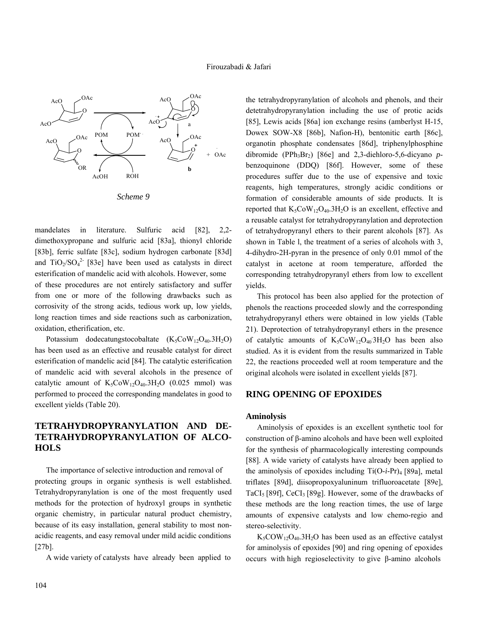

mandelates in literature. Sulfuric acid [82], 2,2 dimethoxypropane and sulfuric acid [83a], thionyl chloride [83b], ferric sulfate [83c], sodium hydrogen carbonate [83d] and  $TiO_2/SO_4^2$  [83e] have been used as catalysts in direct esterification of mandelic acid with alcohols. However, some of these procedures are not entirely satisfactory and suffer from one or more of the following drawbacks such as corrosivity of the strong acids, tedious work up, low yields, long reaction times and side reactions such as carbonization, oxidation, etherification, etc.

Potassium dodecatungstocobaltate  $(K_5CoW_{12}O_{40}.3H_2O)$ has been used as an effective and reusable catalyst for direct esterification of mandelic acid [84]. The catalytic esterification of mandelic acid with several alcohols in the presence of catalytic amount of  $K_5$ CoW<sub>12</sub>O<sub>40</sub>.3H<sub>2</sub>O (0.025 mmol) was performed to proceed the corresponding mandelates in good to excellent yields (Table 20).

# **TETRAHYDROPYRANYLATION AND DE-TETRAHYDROPYRANYLATION OF ALCO-HOLS**

 The importance of selective introduction and removal of protecting groups in organic synthesis is well established. Tetrahydropyranylation is one of the most frequently used methods for the protection of hydroxyl groups in synthetic organic chemistry, in particular natural product chemistry, because of its easy installation, general stability to most nonacidic reagents, and easy removal under mild acidic conditions [27b].

A wide variety of catalysts have already been applied to

the tetrahydropyranylation of alcohols and phenols, and their detetrahydropyranylation including the use of protic acids [85], Lewis acids [86a] ion exchange resins (amberlyst H-15, Dowex SOW-X8 [86b], Nafion-H), bentonitic earth [86c], organotin phosphate condensates [86d], triphenylphosphine dibromide (PPh3Br2) [86e] and 2,3-diehloro-5,6-dicyano *p*benzoquinone (DDQ) [86f]. However, some of these procedures suffer due to the use of expensive and toxic reagents, high temperatures, strongly acidic conditions or formation of considerable amounts of side products. It is reported that  $K_5CoW_{12}O_{40}.3H_2O$  is an excellent, effective and a reusable catalyst for tetrahydropyranylation and deprotection of tetrahydropyranyl ethers to their parent alcohols [87]. As shown in Table l, the treatment of a series of alcohols with 3, 4-dihydro-2H-pyran in the presence of only 0.01 mmol of the catalyst in acetone at room temperature, afforded the corresponding tetrahydropyranyl ethers from low to excellent yields.

 This protocol has been also applied for the protection of phenols the reactions proceeded slowly and the corresponding tetrahydropyranyl ethers were obtained in low yields (Table 21). Deprotection of tetrahydropyranyl ethers in the presence of catalytic amounts of  $K_5CoW_{12}O_{40}3H_2O$  has been also studied. As it is evident from the results summarized in Table 22, the reactions proceeded well at room temperature and the original alcohols were isolated in excellent yields [87].

### **RING OPENING OF EPOXIDES**

#### **Aminolysis**

 Aminolysis of epoxides is an excellent synthetic tool for construction of β-amino alcohols and have been well exploited for the synthesis of pharmacologically interesting compounds [88]. A wide variety of catalysts have already been applied to the aminolysis of epoxides including  $Ti(O-i-Pr)_4$  [89a], metal triflates [89d], diisopropoxyaluninum trifluoroacetate [89e], TaCI<sub>5</sub> [89f], CeCI<sub>3</sub> [89g]. However, some of the drawbacks of these methods are the long reaction times, the use of large amounts of expensive catalysts and low chemo-regio and stereo-selectivity.

 $K_5$ COW<sub>12</sub>O<sub>40</sub>.3H<sub>2</sub>O has been used as an effective catalyst for aminolysis of epoxides [90] and ring opening of epoxides occurs with high regioselectivity to give β-amino alcohols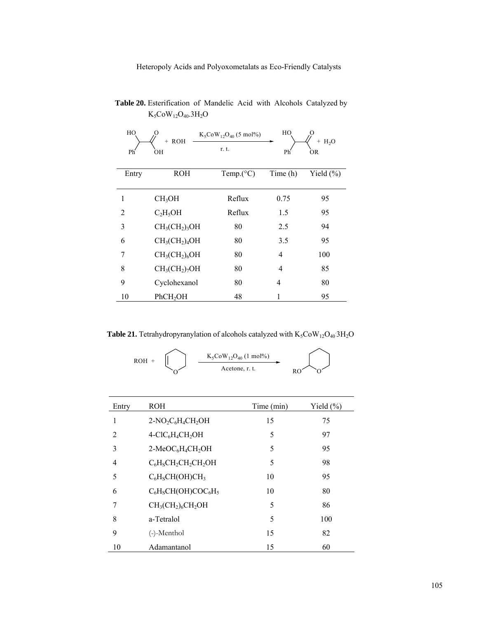| HO    | + ROH                | $K_5COW_{12}O_{40}$ (5 mol%) | HO       | $H_2O$<br>$^{+}$ |
|-------|----------------------|------------------------------|----------|------------------|
| Ph'   | ÒН                   | r. t.                        | Ph       | OR.              |
| Entry | <b>ROH</b>           | Temp. $(^{\circ}C)$          | Time (h) | Yield $(\% )$    |
| 1     | CH <sub>3</sub> OH   | Reflux                       | 0.75     | 95               |
| 2     | $C_2H_5OH$           | Reflux                       | 1.5      | 95               |
| 3     | $CH3(CH2)3OH$        | 80                           | 2.5      | 94               |
| 6     | $CH3(CH2)4OH$        | 80                           | 3.5      | 95               |
| 7     | $CH3(CH2)6OH$        | 80                           | 4        | 100              |
| 8     | $CH3(CH2)7OH$        | 80                           | 4        | 85               |
| 9     | Cyclohexanol         | 80                           | 4        | 80               |
| 10    | PhCH <sub>2</sub> OH | 48                           |          | 95               |

 **Table 20.** Esterification of Mandelic Acid with Alcohols Catalyzed by  $\rm K_5CoW_{12}O_{40}.3H_2O$ 

**Table 21.** Tetrahydropyranylation of alcohols catalyzed with  $K_5CoW_{12}O_{40}3H_2O$ 

$$
ROH + \bigotimes_{O} \qquad \xrightarrow{K_{5}CoW_{12}O_{40} (1 \text{ mol\%})}
$$

| Entry | <b>ROH</b>                                            | Time (min) | Yield $(\%)$ |
|-------|-------------------------------------------------------|------------|--------------|
| 1     | $2-NO_2C_6H_4CH_2OH$                                  | 15         | 75           |
| 2     | $4-CIC6H4CH2OH$                                       | 5          | 97           |
| 3     | 2-MeOC <sub>6</sub> H <sub>4</sub> CH <sub>2</sub> OH | 5          | 95           |
| 4     | $C_6H_5CH_2CH_2CH_2OH$                                | 5          | 98           |
| 5     | $C_6H_5CH(OH)CH_3$                                    | 10         | 95           |
| 6     | $C_6H_5CH(OH)COC_6H_5$                                | 10         | 80           |
| 7     | $CH3(CH2)6CH2OH$                                      | 5          | 86           |
| 8     | a-Tetralol                                            | 5          | 100          |
| 9     | (-)-Menthol                                           | 15         | 82           |
| 10    | Adamantanol                                           | 15         | 60           |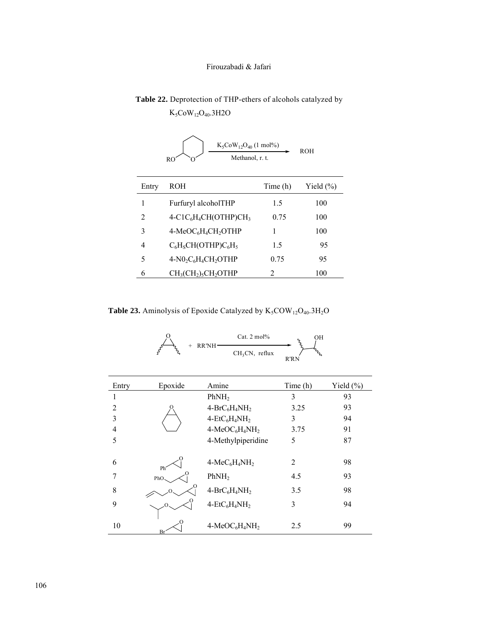**Table 22.** Deprotection of THP-ethers of alcohols catalyzed by  $K_5$ CoW<sub>12</sub>O<sub>40</sub>.3H2O

| $K_5COW_1_2O_{40}$ (1 mol%)<br>ROH<br>Methanol, r. t.<br>RO |                          |          |               |  |
|-------------------------------------------------------------|--------------------------|----------|---------------|--|
| Entry                                                       | <b>ROH</b>               | Time (h) | Yield $(\% )$ |  |
| 1                                                           | Furfuryl alcoholTHP      | 1.5      | 100           |  |
| $\overline{c}$                                              | $4-C1C_6H_4CH(OTHP)CH_3$ | 0.75     | 100           |  |
| 3                                                           | $4-MeOC6H4CH2OTHP$       | 1        | 100           |  |
| 4                                                           | $C_6H_5CH(OTHP)C_6H_5$   | 1.5      | 95            |  |
| 5                                                           | $4-N0_2C_6H_4CH_2OTHP$   | 0.75     | 95            |  |
| 6                                                           | $CH3(CH2)5CH2OTHP$       | 2        | 100           |  |

**Table 23.** Aminolysis of Epoxide Catalyzed by  $K_5COW_{12}O_{40}.3H_2O$ 

 $O_{\lambda}$  Cat. 2 mol%

+ RR'NH

|                | 5<br>፝፞፞        | $CH3CN$ , reflux   | $r_{\rm c}$<br>R'RN |           |
|----------------|-----------------|--------------------|---------------------|-----------|
| Entry          | Epoxide         | Amine              | Time (h)            | Yield (%) |
|                |                 | PhNH <sub>2</sub>  | 3                   | 93        |
| $\overline{2}$ |                 | $4-BrC_6H_4NH_2$   | 3.25                | 93        |
| 3              |                 | $4-EtC_6H_4NH_2$   | 3                   | 94        |
| 4              |                 | $4-MeOC6H4NH2$     | 3.75                | 91        |
| 5              |                 | 4-Methylpiperidine | 5                   | 87        |
| 6              | Ph <sup>2</sup> | $4-MeC6H4NH2$      | $\overline{2}$      | 98        |
| 7              | PhO.            | PhNH <sub>2</sub>  | 4.5                 | 93        |
| 8              |                 | $4-BrC_6H_4NH_2$   | 3.5                 | 98        |
| 9              |                 | $4-EtC_6H_4NH_2$   | 3                   | 94        |
| 10             | B               | $4-MeOC6H4NH2$     | 2.5                 | 99        |

OH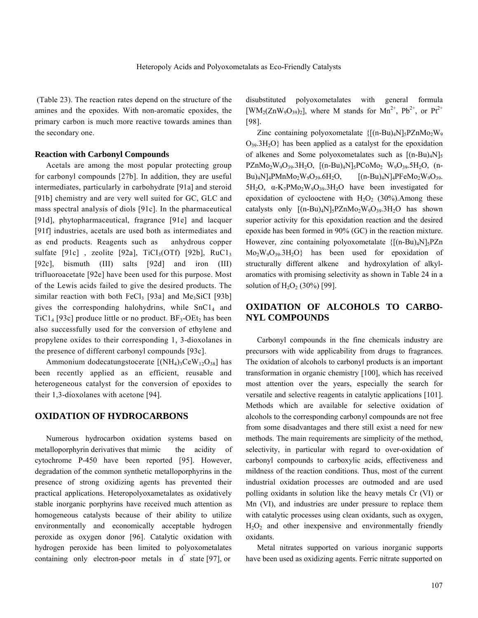(Table 23). The reaction rates depend on the structure of the amines and the epoxides. With non-aromatic epoxides, the primary carbon is much more reactive towards amines than the secondary one.

#### **Reaction with Carbonyl Compounds**

 Acetals are among the most popular protecting group for carbonyl compounds [27b]. In addition, they are useful intermediates, particularly in carbohydrate [91a] and steroid [91b] chemistry and are very well suited for GC, GLC and mass spectral analysis of diols [91c]. In the pharmaceutical [91d], phytopharmaceutical, fragrance [91e] and lacquer [91f] industries, acetals are used both as intermediates and as end products. Reagents such as anhydrous copper sulfate  $[91c]$ , zeolite  $[92a]$ , TiCI<sub>3</sub>(OTf)  $[92b]$ , RuC1<sub>3</sub> [92c], bismuth (III) salts [92d] and iron (III) trifluoroacetate [92e] have been used for this purpose. Most of the Lewis acids failed to give the desired products. The similar reaction with both  $FeCl<sub>3</sub>$  [93a] and Me<sub>3</sub>SiCI [93b] gives the corresponding halohydrins, while  $SnC1<sub>4</sub>$  and  $TiCl<sub>4</sub>$  [93c] produce little or no product. BF<sub>3</sub>-OEt<sub>2</sub> has been also successfully used for the conversion of ethylene and propylene oxides to their corresponding 1, 3-dioxolanes in the presence of different carbonyl compounds [93c].

Ammonium dodecatungstocerate  $[(NH_4)_3CeW_{12}O_{38}]$  has been recently applied as an efficient, reusable and heterogeneous catalyst for the conversion of epoxides to their 1,3-dioxolanes with acetone [94].

## **OXIDATION OF HYDROCARBONS**

 Numerous hydrocarbon oxidation systems based on metalloporphyrin derivatives that mimic the acidity of cytochrome P-450 have been reported [95]. However, degradation of the common synthetic metalloporphyrins in the presence of strong oxidizing agents has prevented their practical applications. Heteropolyoxametalates as oxidatively stable inorganic porphyrins have received much attention as homogeneous catalysts because of their ability to utilize environmentally and economically acceptable hydrogen peroxide as oxygen donor [96]. Catalytic oxidation with hydrogen peroxide has been limited to polyoxometalates containing only electron-poor metals in d° state [97], or

disubstituted polyoxometalates with general formula  $[WM_2(ZnW_9O_{39})_2]$ , where M stands for  $Mn^{2+}$ ,  $Pb^{2+}$ , or  $Pt^{2+}$ [98].

Zinc containing polyoxometalate  ${[(n-Bu)_4N]_5PZnMo_2W_9]}$  $O_{39}$ .3H<sub>2</sub>O} has been applied as a catalyst for the epoxidation of alkenes and Some polyoxometalates such as  $[(n-Bu)<sub>4</sub>N]<sub>5</sub>$  $PZnMo_2W_9O_{39}.3H_2O$ ,  $[(n-Bu)_4N]_5PCoMo_2 W_9O_{39}.5H_2O$ ,  $(n-Bu)_4N$  $Bu)_{4}N$ ]<sub>4</sub>PMnMo<sub>2</sub>W<sub>9</sub>O<sub>39</sub>.6H<sub>2</sub>O, [(n-Bu)<sub>4</sub>N]<sub>4</sub>PFeMo<sub>2</sub>W<sub>9</sub>O<sub>39</sub>. 5H<sub>2</sub>O,  $\alpha$ -K<sub>7</sub>PMo<sub>2</sub>W<sub>9</sub>O<sub>39</sub>.3H<sub>2</sub>O have been investigated for epoxidation of cyclooctene with  $H_2O_2$  (30%).Among these catalysts only  $[(n-Bu)_4N]_5PZnMo_2W_9O_{39}.3H_2O$  has shown superior activity for this epoxidation reaction and the desired epoxide has been formed in 90% (GC) in the reaction mixture. However, zinc containing polyoxometalate  ${[(n-Bu)_4N]_5PZn}$  $Mo_2W_9O_{39}.3H_2O$  has been used for epoxidation of structurally different alkene and hydroxylation of alkylaromatics with promising selectivity as shown in Table 24 in a solution of  $H_2O_2$  (30%) [99].

### **OXIDATION OF ALCOHOLS TO CARBO-NYL COMPOUNDS**

 Carbonyl compounds in the fine chemicals industry are precursors with wide applicability from drugs to fragrances. The oxidation of alcohols to carbonyl products is an important transformation in organic chemistry [100], which has received most attention over the years, especially the search for versatile and selective reagents in catalytic applications [101]. Methods which are available for selective oxidation of alcohols to the corresponding carbonyl compounds are not free from some disadvantages and there still exist a need for new methods. The main requirements are simplicity of the method, selectivity, in particular with regard to over-oxidation of carbonyl compounds to carboxylic acids, effectiveness and mildness of the reaction conditions. Thus, most of the current industrial oxidation processes are outmoded and are used polling oxidants in solution like the heavy metals Cr (VI) or Mn (VI), and industries are under pressure to replace them with catalytic processes using clean oxidants, such as oxygen,  $H_2O_2$  and other inexpensive and environmentally friendly oxidants.

 Metal nitrates supported on various inorganic supports have been used as oxidizing agents. Ferric nitrate supported on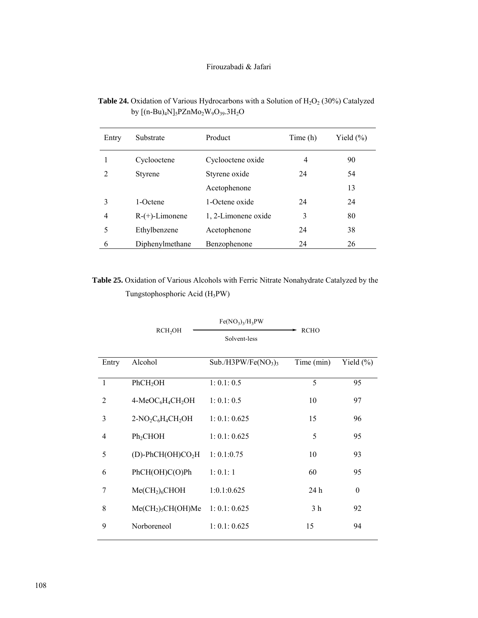| <b>Table 24.</b> Oxidation of Various Hydrocarbons with a Solution of $H_2O_2$ (30%) Catalyzed |
|------------------------------------------------------------------------------------------------|
| by $[(n-Bu)_4N]_5PZnMo_2W_9O_{39}.3H_2O$                                                       |

| Entry | Substrate         | Product             | Time (h) | Yield $(\% )$ |
|-------|-------------------|---------------------|----------|---------------|
|       | Cyclooctene       | Cyclooctene oxide   | 4        | 90            |
| 2     | <b>Styrene</b>    | Styrene oxide       | 24       | 54            |
|       |                   | Acetophenone        |          | 13            |
| 3     | 1-Octene          | 1-Octene oxide      | 24       | 24            |
| 4     | $R-(+)$ -Limonene | 1, 2-Limonene oxide | 3        | 80            |
| 5     | Ethylbenzene      | Acetophenone        | 24       | 38            |
| 6     | Diphenylmethane   | Benzophenone        | 24       | 26            |

 **Table 25.** Oxidation of Various Alcohols with Ferric Nitrate Nonahydrate Catalyzed by the Tungstophosphoric Acid (H3PW)

|              |                                                       | $Fe(NO_3)_3/H_3PW$   |                |               |
|--------------|-------------------------------------------------------|----------------------|----------------|---------------|
|              | RCH <sub>2</sub> OH                                   | Solvent-less         | <b>RCHO</b>    |               |
| Entry        | Alcohol                                               | $Sub./H3PW/Fe(NO3)3$ | Time (min)     | Yield $(\% )$ |
| $\mathbf{1}$ | PhCH <sub>2</sub> OH                                  | 1: 0.1: 0.5          | 5              | 95            |
| 2            | 4-MeOC <sub>6</sub> H <sub>4</sub> CH <sub>2</sub> OH | 1: 0.1: 0.5          | 10             | 97            |
| 3            | $2-NO_2C_6H_4CH_2OH$                                  | 1: 0.1: 0.625        | 15             | 96            |
| 4            | Ph <sub>2</sub> CHOH                                  | 1: 0.1: 0.625        | 5              | 95            |
| 5            | $(D)$ -PhCH(OH)CO <sub>2</sub> H                      | 1: 0.1:0.75          | 10             | 93            |
| 6            | PhCH(OH)C(O)Ph                                        | 1: 0.1: 1            | 60             | 95            |
| 7            | MeCH <sub>2</sub> ) <sub>6</sub> CHOH                 | 1:0.1:0.625          | 24 h           | $\theta$      |
| 8            | $Me(CH2)5CH(OH)Me$                                    | 1: 0.1: 0.625        | 3 <sub>h</sub> | 92            |
| 9            | Norboreneol                                           | 1: 0.1: 0.625        | 15             | 94            |
|              |                                                       |                      |                |               |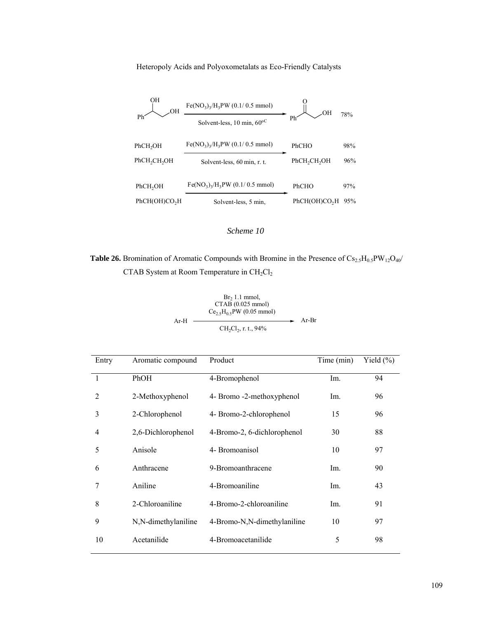

#### *Scheme 10*

**Table 26.** Bromination of Aromatic Compounds with Bromine in the Presence of  $Cs_{2.5}H_{0.5}PW_{12}O_{40}/$ CTAB System at Room Temperature in  $CH<sub>2</sub>Cl<sub>2</sub>$ 

| $Ar-H$ | Br <sub>2</sub> 1.1 mmol,<br>CTAB (0.025 mmol)<br>$Ce_2$ , $H_0$ , PW (0.05 mmol) | Ar-Br |
|--------|-----------------------------------------------------------------------------------|-------|
|        | CH <sub>2</sub> Cl <sub>2</sub> , r. t., 94%                                      |       |

| Entry        | Aromatic compound   | Product                     | Time (min) | Yield $(\% )$ |
|--------------|---------------------|-----------------------------|------------|---------------|
| $\mathbf{1}$ | PhOH                | 4-Bromophenol               | Im.        | 94            |
| 2            | 2-Methoxyphenol     | 4- Bromo -2-methoxyphenol   | Im.        | 96            |
| 3            | 2-Chlorophenol      | 4- Bromo-2-chlorophenol     | 15         | 96            |
| 4            | 2,6-Dichlorophenol  | 4-Bromo-2, 6-dichlorophenol | 30         | 88            |
| 5            | Anisole             | 4- Bromoanisol              | 10         | 97            |
| 6            | Anthracene          | 9-Bromoanthracene           | Im.        | 90            |
| 7            | Aniline             | 4-Bromoaniline              | Im.        | 43            |
| 8            | 2-Chloroaniline     | 4-Bromo-2-chloroaniline     | Im.        | 91            |
| 9            | N,N-dimethylaniline | 4-Bromo-N,N-dimethylaniline | 10         | 97            |
| 10           | Acetanilide         | 4-Bromoacetanilide          | 5          | 98            |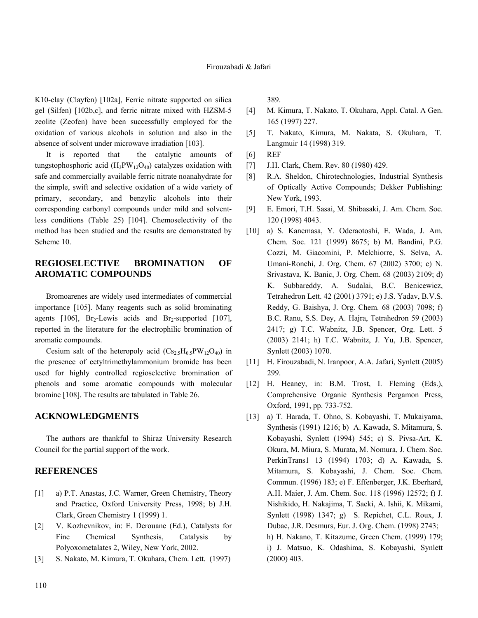K10-clay (Clayfen) [102a], Ferric nitrate supported on silica gel (Silfen) [102b,c], and ferric nitrate mixed with HZSM-5 zeolite (Zeofen) have been successfully employed for the oxidation of various alcohols in solution and also in the absence of solvent under microwave irradiation [103].

It is reported that the catalytic amounts of tungstophosphoric acid  $(H_3PW_{12}O_{40})$  catalyzes oxidation with safe and commercially available ferric nitrate noanahydrate for the simple, swift and selective oxidation of a wide variety of primary, secondary, and benzylic alcohols into their corresponding carbonyl compounds under mild and solventless conditions (Table 25) [104]. Chemoselectivity of the method has been studied and the results are demonstrated by Scheme 10.

# **REGIOSELECTIVE BROMINATION OF AROMATIC COMPOUNDS**

 Bromoarenes are widely used intermediates of commercial importance [105]. Many reagents such as solid brominating agents  $[106]$ , Br<sub>2</sub>-Lewis acids and Br<sub>2</sub>-supported  $[107]$ , reported in the literature for the electrophilic bromination of aromatic compounds.

Cesium salt of the heteropoly acid  $(Cs_2, H_0, PW_12O_{40})$  in the presence of cetyltrimethylammonium bromide has been used for highly controlled regioselective bromination of phenols and some aromatic compounds with molecular bromine [108]. The results are tabulated in Table 26.

#### **ACKNOWLEDGMENTS**

 The authors are thankful to Shiraz University Research Council for the partial support of the work.

#### **REFERENCES**

- [1] a) P.T. Anastas, J.C. Warner, Green Chemistry, Theory and Practice, Oxford University Press, 1998; b) J.H. Clark, Green Chemistry 1 (1999) 1.
- [2] V. Kozhevnikov, in: E. Derouane (Ed.), Catalysts for Fine Chemical Synthesis, Catalysis by Polyoxometalates 2, Wiley, New York, 2002.
- [3] S. Nakato, M. Kimura, T. Okuhara, Chem. Lett. (1997)

389.

- [4] M. Kimura, T. Nakato, T. Okuhara, Appl. Catal. A Gen. 165 (1997) 227.
- [5] T. Nakato, Kimura, M. Nakata, S. Okuhara, T. Langmuir 14 (1998) 319.
- [6] REF
- [7] J.H. Clark, Chem. Rev. 80 (1980) 429.
- [8] R.A. Sheldon, Chirotechnologies, Industrial Synthesis of Optically Active Compounds; Dekker Publishing: New York, 1993.
- [9] E. Emori, T.H. Sasai, M. Shibasaki, J. Am. Chem. Soc. 120 (1998) 4043.
- [10] a) S. Kanemasa, Y. Oderaotoshi, E. Wada, J. Am. Chem. Soc. 121 (1999) 8675; b) M. Bandini, P.G. Cozzi, M. Giacomini, P. Melchiorre, S. Selva, A. Umani-Ronchi, J. Org. Chem. 67 (2002) 3700; c) N. Srivastava, K. Banic, J. Org. Chem. 68 (2003) 2109; d) K. Subbareddy, A. Sudalai, B.C. Benicewicz, Tetrahedron Lett. 42 (2001) 3791; e) J.S. Yadav, B.V.S. Reddy, G. Baishya, J. Org. Chem. 68 (2003) 7098; f) B.C. Ranu, S.S. Dey, A. Hajra, Tetrahedron 59 (2003) 2417; g) T.C. Wabnitz, J.B. Spencer, Org. Lett. 5 (2003) 2141; h) T.C. Wabnitz, J. Yu, J.B. Spencer, Synlett (2003) 1070.
- [11] H. Firouzabadi, N. Iranpoor, A.A. Jafari, Synlett (2005) 299.
- [12] H. Heaney, in: B.M. Trost, I. Fleming (Eds.), Comprehensive Organic Synthesis Pergamon Press, Oxford, 1991, pp. 733-752.
- [13] a) T. Harada, T. Ohno, S. Kobayashi, T. Mukaiyama, Synthesis (1991) 1216; b) A. Kawada, S. Mitamura, S. Kobayashi, Synlett (1994) 545; c) S. Pivsa-Art, K. Okura, M. Miura, S. Murata, M. Nomura, J. Chem. Soc. PerkinTrans1 13 (1994) 1703; d) A. Kawada, S. Mitamura, S. Kobayashi, J. Chem. Soc. Chem. Commun. (1996) 183; e) F. Effenberger, J.K. Eberhard, A.H. Maier, J. Am. Chem. Soc. 118 (1996) 12572; f) J. Nishikido, H. Nakajima, T. Saeki, A. Ishii, K. Mikami, Synlett (1998) 1347; g) S. Repichet, C.L. Roux, J. Dubac, J.R. Desmurs, Eur. J. Org. Chem. (1998) 2743; h) H. Nakano, T. Kitazume, Green Chem. (1999) 179; i) J. Matsuo, K. Odashima, S. Kobayashi, Synlett (2000) 403.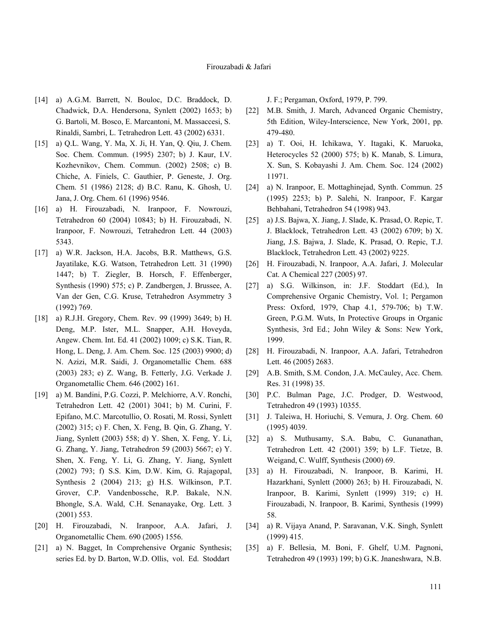- [14] a) A.G.M. Barrett, N. Bouloc, D.C. Braddock, D. Chadwick, D.A. Hendersona, Synlett (2002) 1653; b) G. Bartoli, M. Bosco, E. Marcantoni, M. Massaccesi, S. Rinaldi, Sambri, L. Tetrahedron Lett. 43 (2002) 6331.
- [15] a) Q.L. Wang, Y. Ma, X. Ji, H. Yan, Q. Qiu, J. Chem. Soc. Chem. Commun. (1995) 2307; b) J. Kaur, I.V. Kozhevnikov, Chem. Commun. (2002) 2508; c) B. Chiche, A. Finiels, C. Gauthier, P. Geneste, J. Org. Chem. 51 (1986) 2128; d) B.C. Ranu, K. Ghosh, U. Jana, J. Org. Chem. 61 (1996) 9546.
- [16] a) H. Firouzabadi, N. Iranpoor, F. Nowrouzi, Tetrahedron 60 (2004) 10843; b) H. Firouzabadi, N. Iranpoor, F. Nowrouzi, Tetrahedron Lett. 44 (2003) 5343.
- [17] a) W.R. Jackson, H.A. Jacobs, B.R. Matthews, G.S. Jayatilake, K.G. Watson, Tetrahedron Lett. 31 (1990) 1447; b) T. Ziegler, B. Horsch, F. Effenberger, Synthesis (1990) 575; c) P. Zandbergen, J. Brussee, A. Van der Gen, C.G. Kruse, Tetrahedron Asymmetry 3 (1992) 769.
- [18] a) R.J.H. Gregory, Chem. Rev. 99 (1999) 3649; b) H. Deng, M.P. Ister, M.L. Snapper, A.H. Hoveyda, Angew. Chem. Int. Ed. 41 (2002) 1009; c) S.K. Tian, R. Hong, L. Deng, J. Am. Chem. Soc. 125 (2003) 9900; d) N. Azizi, M.R. Saidi, J. Organometallic Chem. 688 (2003) 283; e) Z. Wang, B. Fetterly, J.G. Verkade J. Organometallic Chem. 646 (2002) 161.
- [19] a) M. Bandini, P.G. Cozzi, P. Melchiorre, A.V. Ronchi, Tetrahedron Lett. 42 (2001) 3041; b) M. Curini, F. Epifano, M.C. Marcotullio, O. Rosati, M. Rossi, Synlett (2002) 315; c) F. Chen, X. Feng, B. Qin, G. Zhang, Y. Jiang, Synlett (2003) 558; d) Y. Shen, X. Feng, Y. Li, G. Zhang, Y. Jiang, Tetrahedron 59 (2003) 5667; e) Y. Shen, X. Feng, Y. Li, G. Zhang, Y. Jiang, Synlett (2002) 793; f) S.S. Kim, D.W. Kim, G. Rajagopal, Synthesis 2 (2004) 213; g) H.S. Wilkinson, P.T. Grover, C.P. Vandenbossche, R.P. Bakale, N.N. Bhongle, S.A. Wald, C.H. Senanayake, Org. Lett. 3 (2001) 553.
- [20] H. Firouzabadi, N. Iranpoor, A.A. Jafari, J. Organometallic Chem. 690 (2005) 1556.
- [21] a) N. Bagget, In Comprehensive Organic Synthesis; series Ed. by D. Barton, W.D. Ollis, vol. Ed. Stoddart

J. F.; Pergaman, Oxford, 1979, P. 799.

- [22] M.B. Smith, J. March, Advanced Organic Chemistry, 5th Edition, Wiley-Interscience, New York, 2001, pp. 479-480.
- [23] a) T. Ooi, H. Ichikawa, Y. Itagaki, K. Maruoka, Heterocycles 52 (2000) 575; b) K. Manab, S. Limura, X. Sun, S. Kobayashi J. Am. Chem. Soc. 124 (2002) 11971.
- [24] a) N. Iranpoor, E. Mottaghinejad, Synth. Commun. 25 (1995) 2253; b) P. Salehi, N. Iranpoor, F. Kargar Behbahani, Tetrahedron 54 (1998) 943.
- [25] a) J.S. Bajwa, X. Jiang, J. Slade, K. Prasad, O. Repic, T. J. Blacklock, Tetrahedron Lett. 43 (2002) 6709; b) X. Jiang, J.S. Bajwa, J. Slade, K. Prasad, O. Repic, T.J. Blacklock, Tetrahedron Lett. 43 (2002) 9225.
- [26] H. Firouzabadi, N. Iranpoor, A.A. Jafari, J. Molecular Cat. A Chemical 227 (2005) 97.
- [27] a) S.G. Wilkinson, in: J.F. Stoddart (Ed.), In Comprehensive Organic Chemistry, Vol. 1; Pergamon Press: Oxford, 1979, Chap 4.1, 579-706; b) T.W. Green, P.G.M. Wuts, In Protective Groups in Organic Synthesis, 3rd Ed.; John Wiley & Sons: New York, 1999.
- [28] H. Firouzabadi, N. Iranpoor, A.A. Jafari, Tetrahedron Lett. 46 (2005) 2683.
- [29] A.B. Smith, S.M. Condon, J.A. McCauley, Acc. Chem. Res. 31 (1998) 35.
- [30] P.C. Bulman Page, J.C. Prodger, D. Westwood, Tetrahedron 49 (1993) 10355.
- [31] J. Taleiwa, H. Horiuchi, S. Vemura, J. Org. Chem. 60 (1995) 4039.
- [32] a) S. Muthusamy, S.A. Babu, C. Gunanathan, Tetrahedron Lett. 42 (2001) 359; b) L.F. Tietze, B. Weigand, C. Wulff, Synthesis (2000) 69.
- [33] a) H. Firouzabadi, N. Iranpoor, B. Karimi, H. Hazarkhani, Synlett (2000) 263; b) H. Firouzabadi, N. Iranpoor, B. Karimi, Synlett (1999) 319; c) H. Firouzabadi, N. Iranpoor, B. Karimi, Synthesis (1999) 58.
- [34] a) R. Vijaya Anand, P. Saravanan, V.K. Singh, Synlett (1999) 415.
- [35] a) F. Bellesia, M. Boni, F. Ghelf, U.M. Pagnoni, Tetrahedron 49 (1993) 199; b) G.K. Jnaneshwara, N.B.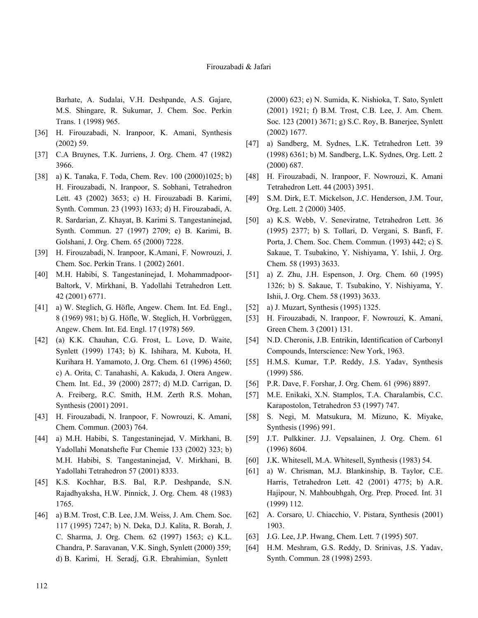Barhate, A. Sudalai, V.H. Deshpande, A.S. Gajare, M.S. Shingare, R. Sukumar, J. Chem. Soc. Perkin Trans. 1 (1998) 965.

- [36] H. Firouzabadi, N. Iranpoor, K. Amani, Synthesis (2002) 59.
- [37] C.A Bruynes, T.K. Jurriens, J. Org. Chem. 47 (1982) 3966.
- [38] a) K. Tanaka, F. Toda, Chem. Rev. 100 (2000)1025; b) H. Firouzabadi, N. Iranpoor, S. Sobhani, Tetrahedron Lett. 43 (2002) 3653; c) H. Firouzabadi B. Karimi, Synth. Commun. 23 (1993) 1633; d) H. Firouzabadi, A. R. Sardarian, Z. Khayat, B. Karimi S. Tangestaninejad, Synth. Commun. 27 (1997) 2709; e) B. Karimi, B. Golshani, J. Org. Chem. 65 (2000) 7228.
- [39] H. Firouzabadi, N. Iranpoor, K.Amani, F. Nowrouzi, J. Chem. Soc. Perkin Trans. 1 (2002) 2601.
- [40] M.H. Habibi, S. Tangestaninejad, I. Mohammadpoor-Baltork, V. Mirkhani, B. Yadollahi Tetrahedron Lett. 42 (2001) 6771.
- [41] a) W. Steglich, G. Höfle, Angew. Chem. Int. Ed. Engl., 8 (1969) 981; b) G. Höfle, W. Steglich, H. Vorbrüggen, Angew. Chem. Int. Ed. Engl. 17 (1978) 569.
- [42] (a) K.K. Chauhan, C.G. Frost, L. Love, D. Waite, Synlett (1999) 1743; b) K. Ishihara, M. Kubota, H. Kurihara H. Yamamoto, J. Org. Chem. 61 (1996) 4560; c) A. Orita, C. Tanahashi, A. Kakuda, J. Otera Angew. Chem. Int. Ed., 39 (2000) 2877; d) M.D. Carrigan, D. A. Freiberg, R.C. Smith, H.M. Zerth R.S. Mohan, Synthesis (2001) 2091.
- [43] H. Firouzabadi, N. Iranpoor, F. Nowrouzi, K. Amani, Chem. Commun. (2003) 764.
- [44] a) M.H. Habibi, S. Tangestaninejad, V. Mirkhani, B. Yadollahi Monatshefte Fur Chemie 133 (2002) 323; b) M.H. Habibi, S. Tangestaninejad, V. Mirkhani, B. Yadollahi Tetrahedron 57 (2001) 8333.
- [45] K.S. Kochhar, B.S. Bal, R.P. Deshpande, S.N. Rajadhyaksha, H.W. Pinnick, J. Org. Chem. 48 (1983) 1765.
- [46] a) B.M. Trost, C.B. Lee, J.M. Weiss, J. Am. Chem. Soc. 117 (1995) 7247; b) N. Deka, D.J. Kalita, R. Borah, J. C. Sharma, J. Org. Chem. 62 (1997) 1563; c) K.L. Chandra, P. Saravanan, V.K. Singh, Synlett (2000) 359; d) B. Karimi, H. Seradj, G.R. Ebrahimian, Synlett

(2000) 623; e) N. Sumida, K. Nishioka, T. Sato, Synlett (2001) 1921; f) B.M. Trost, C.B. Lee, J. Am. Chem. Soc. 123 (2001) 3671; g) S.C. Roy, B. Banerjee, Synlett (2002) 1677.

- [47] a) Sandberg, M. Sydnes, L.K. Tetrahedron Lett. 39 (1998) 6361; b) M. Sandberg, L.K. Sydnes, Org. Lett. 2 (2000) 687.
- [48] H. Firouzabadi, N. Iranpoor, F. Nowrouzi, K. Amani Tetrahedron Lett. 44 (2003) 3951.
- [49] S.M. Dirk, E.T. Mickelson, J.C. Henderson, J.M. Tour, Org. Lett. 2 (2000) 3405.
- [50] a) K.S. Webb, V. Seneviratne, Tetrahedron Lett. 36 (1995) 2377; b) S. Tollari, D. Vergani, S. Banfi, F. Porta, J. Chem. Soc. Chem. Commun. (1993) 442; c) S. Sakaue, T. Tsubakino, Y. Nishiyama, Y. Ishii, J. Org. Chem. 58 (1993) 3633.
- [51] a) Z. Zhu, J.H. Espenson, J. Org. Chem. 60 (1995) 1326; b) S. Sakaue, T. Tsubakino, Y. Nishiyama, Y. Ishii, J. Org. Chem. 58 (1993) 3633.
- [52] a) J. Muzart, Synthesis (1995) 1325.
- [53] H. Firouzabadi, N. Iranpoor, F. Nowrouzi, K. Amani, Green Chem. 3 (2001) 131.
- [54] N.D. Cheronis, J.B. Entrikin, Identification of Carbonyl Compounds, Interscience: New York, 1963.
- [55] H.M.S. Kumar, T.P. Reddy, J.S. Yadav, Synthesis (1999) 586.
- [56] P.R. Dave, F. Forshar, J. Org. Chem. 61 (996) 8897.
- [57] M.E. Enikaki, X.N. Stamplos, T.A. Charalambis, C.C. Karapostolon, Tetrahedron 53 (1997) 747.
- [58] S. Negi, M. Matsukura, M. Mizuno, K. Miyake, Synthesis (1996) 991.
- [59] J.T. Pulkkiner. J.J. Vepsalainen, J. Org. Chem. 61 (1996) 8604.
- [60] J.K. Whitesell, M.A. Whitesell, Synthesis (1983) 54.
- [61] a) W. Chrisman, M.J. Blankinship, B. Taylor, C.E. Harris, Tetrahedron Lett. 42 (2001) 4775; b) A.R. Hajipour, N. Mahboubhgah, Org. Prep. Proced. Int. 31 (1999) 112.
- [62] A. Corsaro, U. Chiacchio, V. Pistara, Synthesis (2001) 1903.
- [63] J.G. Lee, J.P. Hwang, Chem. Lett. 7 (1995) 507.
- [64] H.M. Meshram, G.S. Reddy, D. Srinivas, J.S. Yadav, Synth. Commun. 28 (1998) 2593.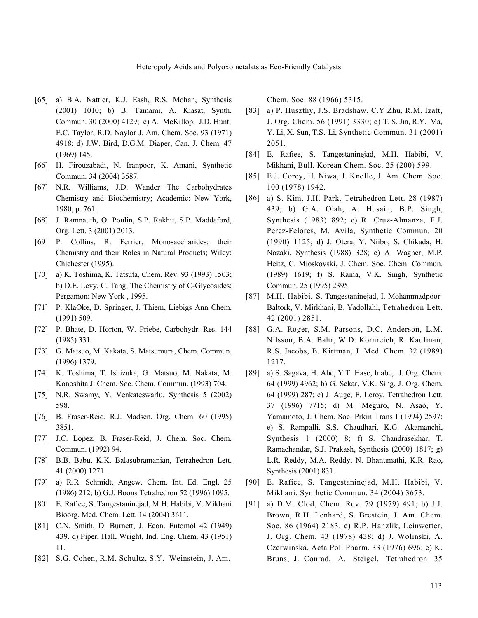- [65] a) B.A. Nattier, K.J. Eash, R.S. Mohan, Synthesis (2001) 1010; b) B. Tamami, A. Kiasat, Synth. Commun. 30 (2000) 4129; c) A. McKillop, J.D. Hunt, E.C. Taylor, R.D. Naylor J. Am. Chem. Soc. 93 (1971) 4918; d) J.W. Bird, D.G.M. Diaper, Can. J. Chem. 47 (1969) 145.
- [66] H. Firouzabadi, N. Iranpoor, K. Amani, Synthetic Commun. 34 (2004) 3587.
- [67] N.R. Williams, J.D. Wander The Carbohydrates Chemistry and Biochemistry; Academic: New York, 1980, p. 761.
- [68] J. Ramnauth, O. Poulin, S.P. Rakhit, S.P. Maddaford, Org. Lett. 3 (2001) 2013.
- [69] P. Collins, R. Ferrier, Monosaccharides: their Chemistry and their Roles in Natural Products; Wiley: Chichester (1995).
- [70] a) K. Toshima, K. Tatsuta, Chem. Rev. 93 (1993) 1503; b) D.E. Levy, C. Tang, The Chemistry of C-Glycosides; Pergamon: New York , 1995.
- [71] P. KlaOke, D. Springer, J. Thiem, Liebigs Ann Chem. (1991) 509.
- [72] P. Bhate, D. Horton, W. Priebe, Carbohydr. Res. 144 (1985) 331.
- [73] G. Matsuo, M. Kakata, S. Matsumura, Chem. Commun. (1996) 1379.
- [74] K. Toshima, T. Ishizuka, G. Matsuo, M. Nakata, M. Konoshita J. Chem. Soc. Chem. Commun. (1993) 704.
- [75] N.R. Swamy, Y. Venkateswarlu, Synthesis 5 (2002) 598.
- [76] B. Fraser-Reid, R.J. Madsen, Org. Chem. 60 (1995) 3851.
- [77] J.C. Lopez, B. Fraser-Reid, J. Chem. Soc. Chem. Commun. (1992) 94.
- [78] B.B. Babu, K.K. Balasubramanian, Tetrahedron Lett. 41 (2000) 1271.
- [79] a) R.R. Schmidt, Angew. Chem. Int. Ed. Engl. 25 (1986) 212; b) G.J. Boons Tetrahedron 52 (1996) 1095.
- [80] E. Rafiee, S. Tangestaninejad, M.H. Habibi, V. Mikhani Bioorg. Med. Chem. Lett. 14 (2004) 3611.
- [81] C.N. Smith, D. Burnett, J. Econ. Entomol 42 (1949) 439. d) Piper, Hall, Wright, Ind. Eng. Chem. 43 (1951) 11.
- [82] S.G. Cohen, R.M. Schultz, S.Y. Weinstein, J. Am.

Chem. Soc. 88 (1966) 5315.

- [83] a) P. Huszthy, J.S. Bradshaw, C.Y Zhu, R.M. Izatt, J. Org. Chem. 56 (1991) 3330; e) T. S. Jin, R.Y. Ma, Y. Li, X. Sun, T.S. Li, Synthetic Commun. 31 (2001) 2051.
- [84] E. Rafiee, S. Tangestaninejad, M.H. Habibi, V. Mikhani, Bull. Korean Chem. Soc. 25 (200) 599.
- [85] E.J. Corey, H. Niwa, J. Knolle, J. Am. Chem. Soc. 100 (1978) 1942.
- [86] a) S. Kim, J.H. Park, Tetrahedron Lett. 28 (1987) 439; b) G.A. Olah, A. Husain, B.P. Singh, Synthesis (1983) 892; c) R. Cruz-Almanza, F.J. Perez-Felores, M. Avila, Synthetic Commun. 20 (1990) 1125; d) J. Otera, Y. Niibo, S. Chikada, H. Nozaki, Synthesis (1988) 328; e) A. Wagner, M.P. Heitz, C. Mioskovski, J. Chem. Soc. Chem. Commun. (1989) 1619; f) S. Raina, V.K. Singh, Synthetic Commun. 25 (1995) 2395.
- [87] M.H. Habibi, S. Tangestaninejad, I. Mohammadpoor-Baltork, V. Mirkhani, B. Yadollahi, Tetrahedron Lett. 42 (2001) 2851.
- [88] G.A. Roger, S.M. Parsons, D.C. Anderson, L.M. Nilsson, B.A. Bahr, W.D. Kornreieh, R. Kaufman, R.S. Jacobs, B. Kirtman, J. Med. Chem. 32 (1989) 1217.
- [89] a) S. Sagava, H. Abe, Y.T. Hase, Inabe, J. Org. Chem. 64 (1999) 4962; b) G. Sekar, V.K. Sing, J. Org. Chem. 64 (1999) 287; c) J. Auge, F. Leroy, Tetrahedron Lett. 37 (1996) 7715; d) M. Meguro, N. Asao, Y. Yamamoto, J. Chem. Soc. Prkin Trans I (1994) 2597; e) S. Rampalli. S.S. Chaudhari. K.G. Akamanchi, Synthesis 1 (2000) 8; f) S. Chandrasekhar, T. Ramachandar, S.J. Prakash, Synthesis (2000) 1817; g) L.R. Reddy, M.A. Reddy, N. Bhanumathi, K.R. Rao, Synthesis (2001) 831.
- [90] E. Rafiee, S. Tangestaninejad, M.H. Habibi, V. Mikhani, Synthetic Commun. 34 (2004) 3673.
- [91] a) D.M. Clod, Chem. Rev. 79 (1979) 491; b) J.J. Brown, R.H. Lenhard, S. Brestein, J. Am. Chem. Soc. 86 (1964) 2183; c) R.P. Hanzlik, Leinwetter, J. Org. Chem. 43 (1978) 438; d) J. Wolinski, A. Czerwinska, Acta Pol. Pharm. 33 (1976) 696; e) K. Bruns, J. Conrad, A. Steigel, Tetrahedron 35